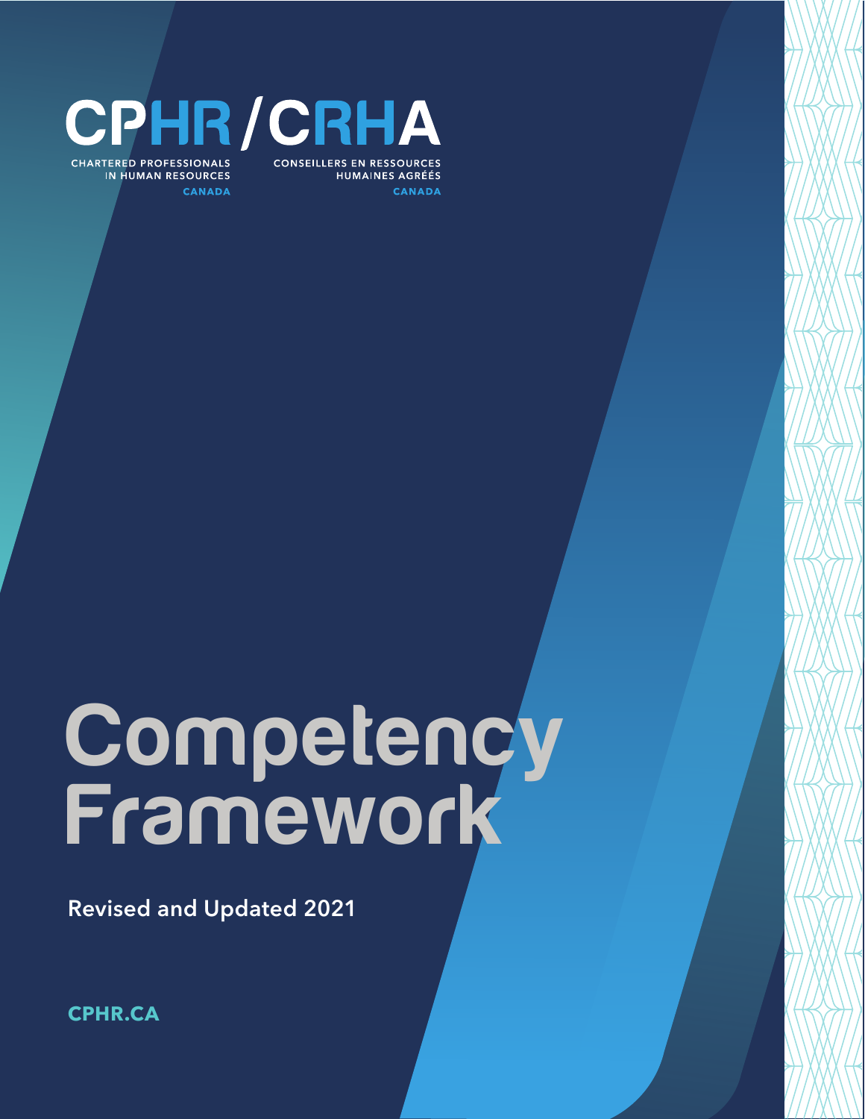

**CONSEILLERS EN RESSOURCES HUMAINES AGRÉÉS** CANADA

**CHARTERED PROFESSIONALS IN HUMAN RESOURCES CANADA** 

# **Competency** Framework

Revised and Updated 2021

**[CPHR.CA](http://CPHRBC.CA)**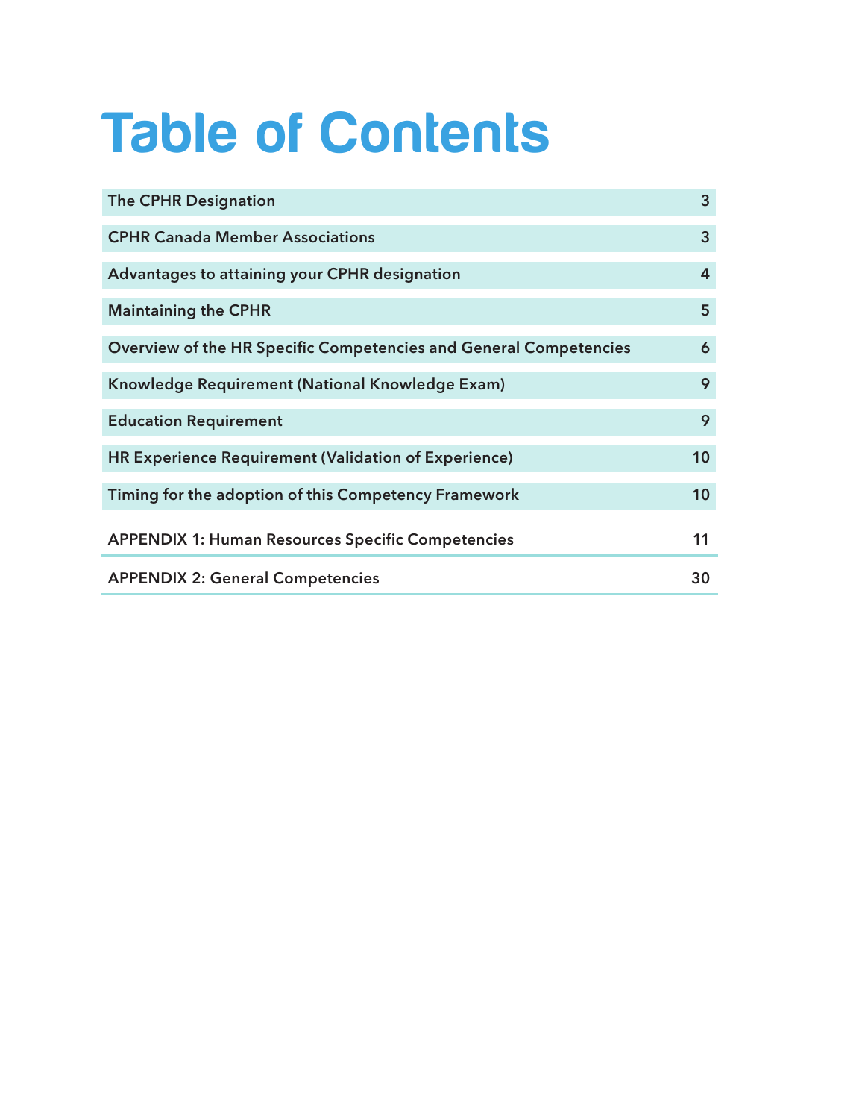# Table of Contents

| <b>The CPHR Designation</b>                                       | 3  |
|-------------------------------------------------------------------|----|
| <b>CPHR Canada Member Associations</b>                            | 3  |
| Advantages to attaining your CPHR designation                     | 4  |
| <b>Maintaining the CPHR</b>                                       | 5  |
| Overview of the HR Specific Competencies and General Competencies | 6  |
| Knowledge Requirement (National Knowledge Exam)                   | 9  |
| <b>Education Requirement</b>                                      | 9  |
| HR Experience Requirement (Validation of Experience)              | 10 |
| Timing for the adoption of this Competency Framework              | 10 |
| <b>APPENDIX 1: Human Resources Specific Competencies</b>          | 11 |
| <b>APPENDIX 2: General Competencies</b>                           | 30 |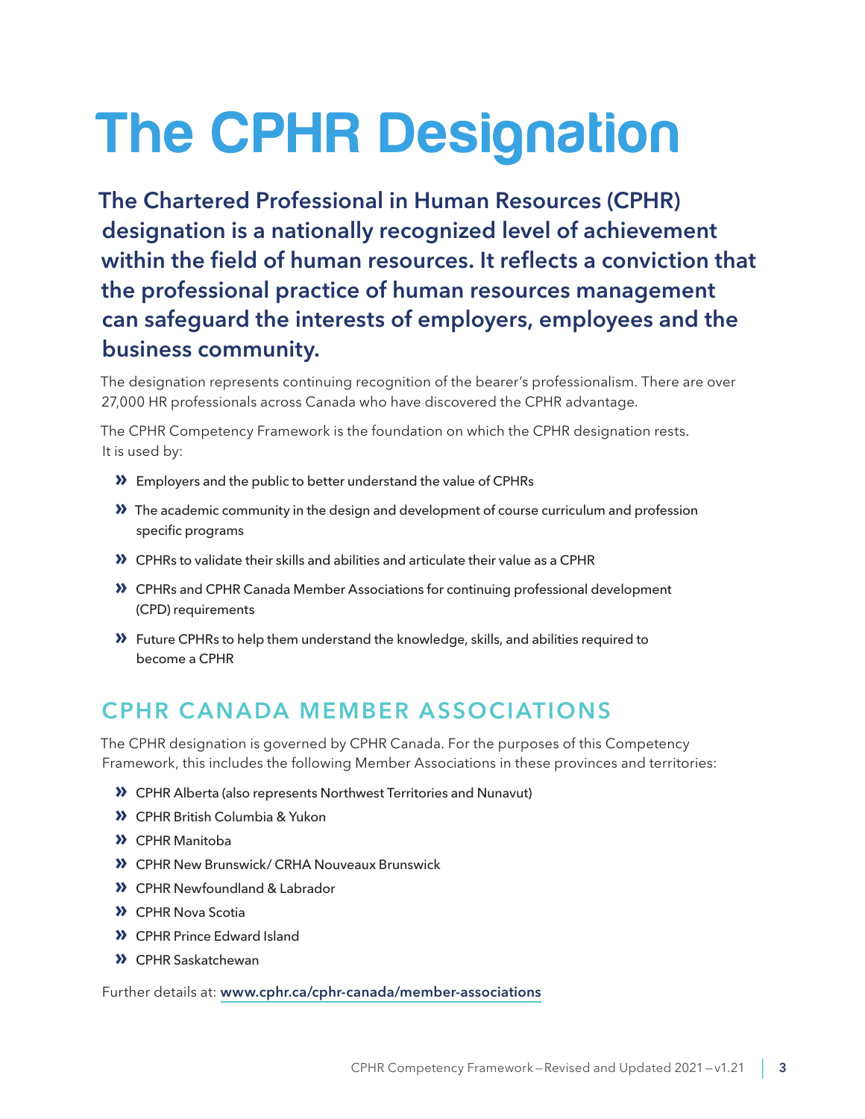# <span id="page-2-0"></span>The CPHR Designation

The Chartered Professional in Human Resources (CPHR) designation is a nationally recognized level of achievement within the field of human resources. It reflects a conviction that the professional practice of human resources management can safeguard the interests of employers, employees and the business community.

The designation represents continuing recognition of the bearer's professionalism. There are over 27,000 HR professionals across Canada who have discovered the CPHR advantage.

The CPHR Competency Framework is the foundation on which the CPHR designation rests. It is used by:

- **»** Employers and the public to better understand the value of CPHRs
- **»** The academic community in the design and development of course curriculum and profession specific programs
- **»** CPHRs to validate their skills and abilities and articulate their value as a CPHR
- **»** CPHRs and CPHR Canada Member Associations for continuing professional development (CPD) requirements
- **»** Future CPHRs to help them understand the knowledge, skills, and abilities required to become a CPHR

# CPHR CANADA MEMBER ASSOCIATIONS

The CPHR designation is governed by CPHR Canada. For the purposes of this Competency Framework, this includes the following Member Associations in these provinces and territories:

- **»** CPHR Alberta (also represents Northwest Territories and Nunavut)
- **»** CPHR British Columbia & Yukon
- **»** CPHR Manitoba
- **»** CPHR New Brunswick/ CRHA Nouveaux Brunswick
- **»** CPHR Newfoundland & Labrador
- **»** CPHR Nova Scotia
- **»** CPHR Prince Edward Island
- **»** CPHR Saskatchewan

Further details at: [www.cphr.ca/cphr-canada/member-associations](http://www.cphr.ca/cphr-canada/member-associations)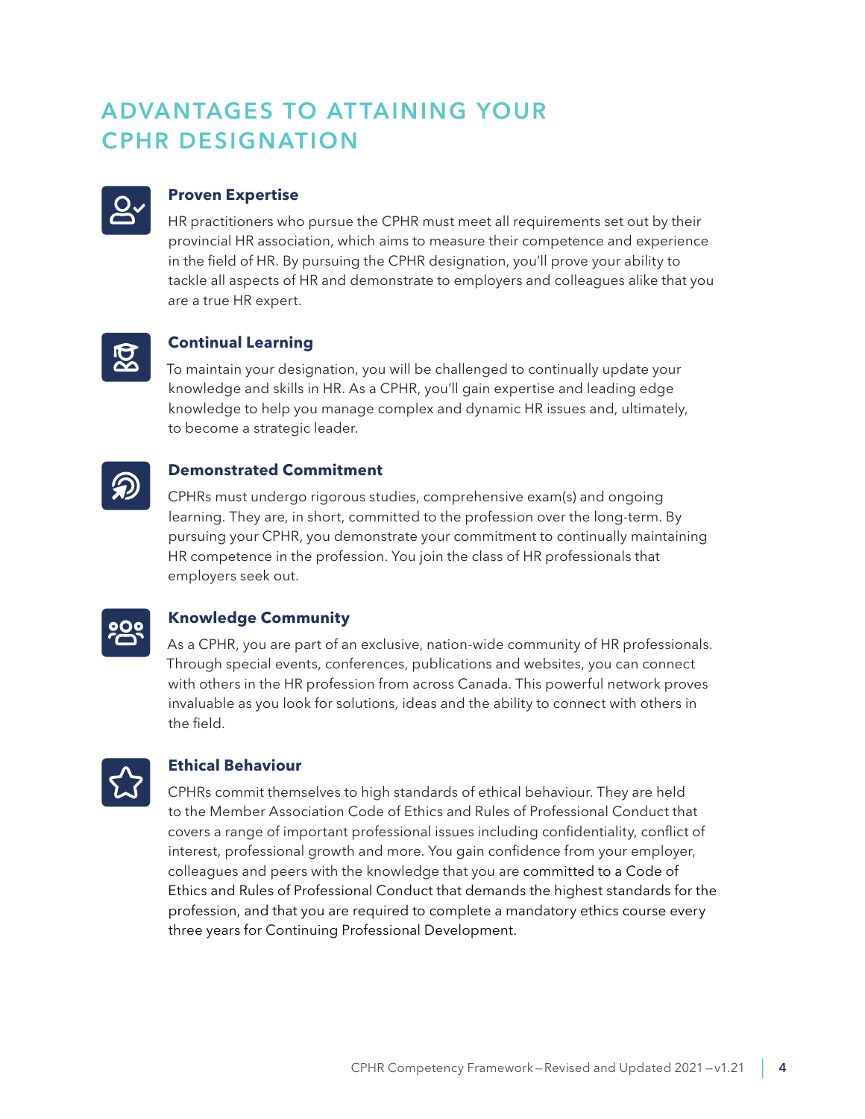# <span id="page-3-0"></span>ADVANTAGES TO ATTAINING YOUR CPHR DESIGNATION



# **Proven Expertise**

HR practitioners who pursue the CPHR must meet all requirements set out by their provincial HR association, which aims to measure their competence and experience in the field of HR. By pursuing the CPHR designation, you'll prove your ability to tackle all aspects of HR and demonstrate to employers and colleagues alike that you are a true HR expert.



## **Continual Learning**

To maintain your designation, you will be challenged to continually update your knowledge and skills in HR. As a CPHR, you'll gain expertise and leading edge knowledge to help you manage complex and dynamic HR issues and, ultimately, to become a strategic leader.



CPHRs must undergo rigorous studies, comprehensive exam(s) and ongoing learning. They are, in short, committed to the profession over the long-term. By pursuing your CPHR, you demonstrate your commitment to continually maintaining HR competence in the profession. You join the class of HR professionals that employers seek out.



## **Knowledge Community**

As a CPHR, you are part of an exclusive, nation-wide community of HR professionals. Through special events, conferences, publications and websites, you can connect with others in the HR profession from across Canada. This powerful network proves invaluable as you look for solutions, ideas and the ability to connect with others in the field.



#### **Ethical Behaviour**

CPHRs commit themselves to high standards of ethical behaviour. They are held to the Member Association Code of Ethics and Rules of Professional Conduct that covers a range of important professional issues including confidentiality, conflict of interest, professional growth and more. You gain confidence from your employer, colleagues and peers with the knowledge that you are committed to a Code of Ethics and Rules of Professional Conduct that demands the highest standards for the profession, and that you are required to complete a mandatory ethics course every three years for Continuing Professional Development.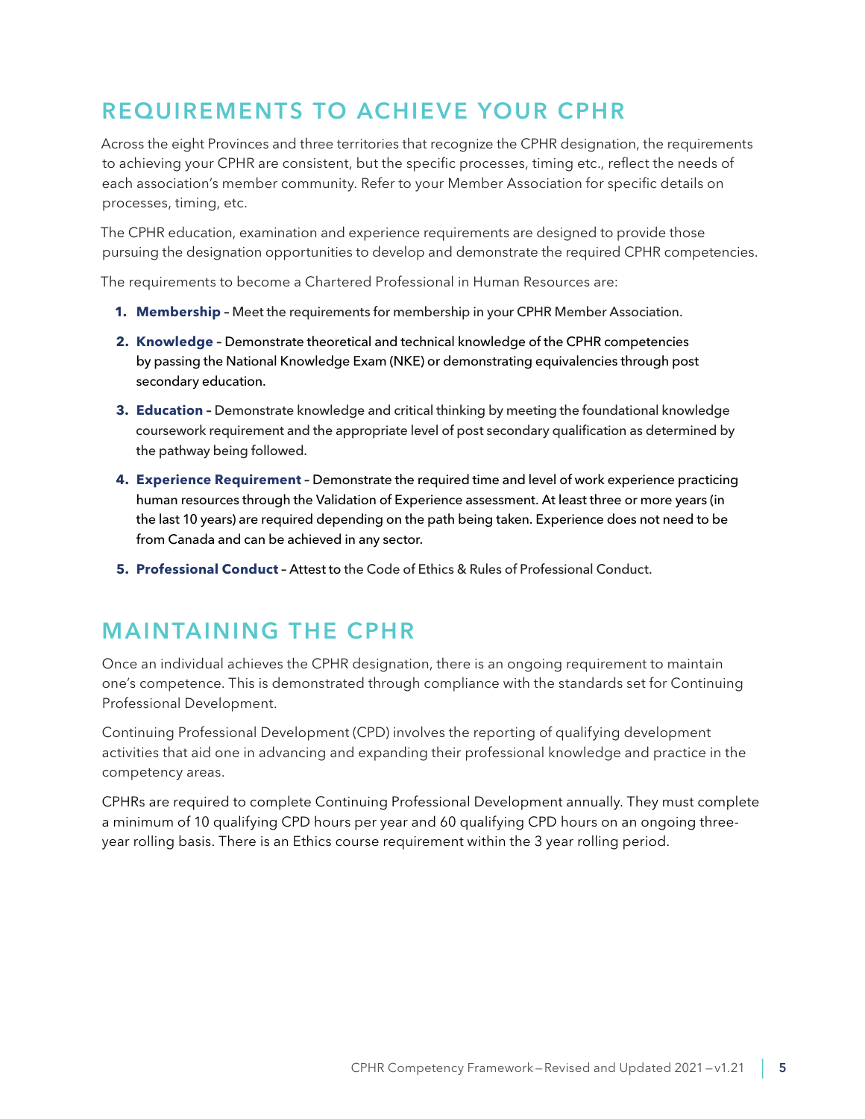# <span id="page-4-0"></span>REQUIREMENTS TO ACHIEVE YOUR CPHR

Across the eight Provinces and three territories that recognize the CPHR designation, the requirements to achieving your CPHR are consistent, but the specific processes, timing etc., reflect the needs of each association's member community. Refer to your Member Association for specific details on processes, timing, etc.

The CPHR education, examination and experience requirements are designed to provide those pursuing the designation opportunities to develop and demonstrate the required CPHR competencies.

The requirements to become a Chartered Professional in Human Resources are:

- **1. Membership –** Meet the requirements for membership in your CPHR Member Association.
- **2. Knowledge –** Demonstrate theoretical and technical knowledge of the CPHR competencies by passing the National Knowledge Exam (NKE) or demonstrating equivalencies through post secondary education.
- **3. Education –** Demonstrate knowledge and critical thinking by meeting the foundational knowledge coursework requirement and the appropriate level of post secondary qualification as determined by the pathway being followed.
- **4. Experience Requirement –** Demonstrate the required time and level of work experience practicing human resources through the Validation of Experience assessment. At least three or more years (in the last 10 years) are required depending on the path being taken. Experience does not need to be from Canada and can be achieved in any sector.
- **5. Professional Conduct –** Attest to the Code of Ethics & Rules of Professional Conduct.

# MAINTAINING THE CPHR

Once an individual achieves the CPHR designation, there is an ongoing requirement to maintain one's competence. This is demonstrated through compliance with the standards set for Continuing Professional Development.

Continuing Professional Development (CPD) involves the reporting of qualifying development activities that aid one in advancing and expanding their professional knowledge and practice in the competency areas.

CPHRs are required to complete Continuing Professional Development annually. They must complete a minimum of 10 qualifying CPD hours per year and 60 qualifying CPD hours on an ongoing threeyear rolling basis. There is an Ethics course requirement within the 3 year rolling period.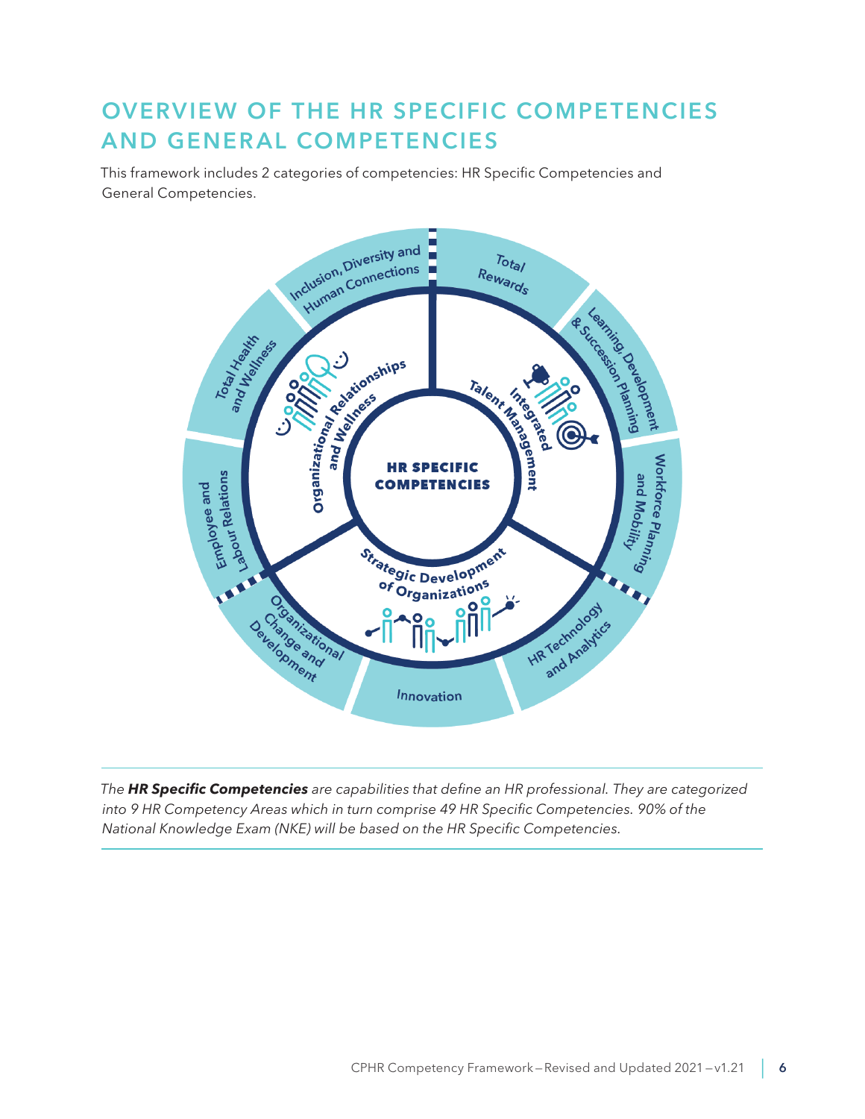# <span id="page-5-0"></span>OVERVIEW OF THE HR SPECIFIC COMPETENCIES **AND GENERAL COMPETENCIES**

This framework includes 2 categories of competencies: HR Specific Competencies and General Competencies.



*The HR Specific Competencies are capabilities that define an HR professional. They are categorized into 9 HR Competency Areas which in turn comprise 49 HR Specific Competencies. 90% of the National Knowledge Exam (NKE) will be based on the HR Specific Competencies.*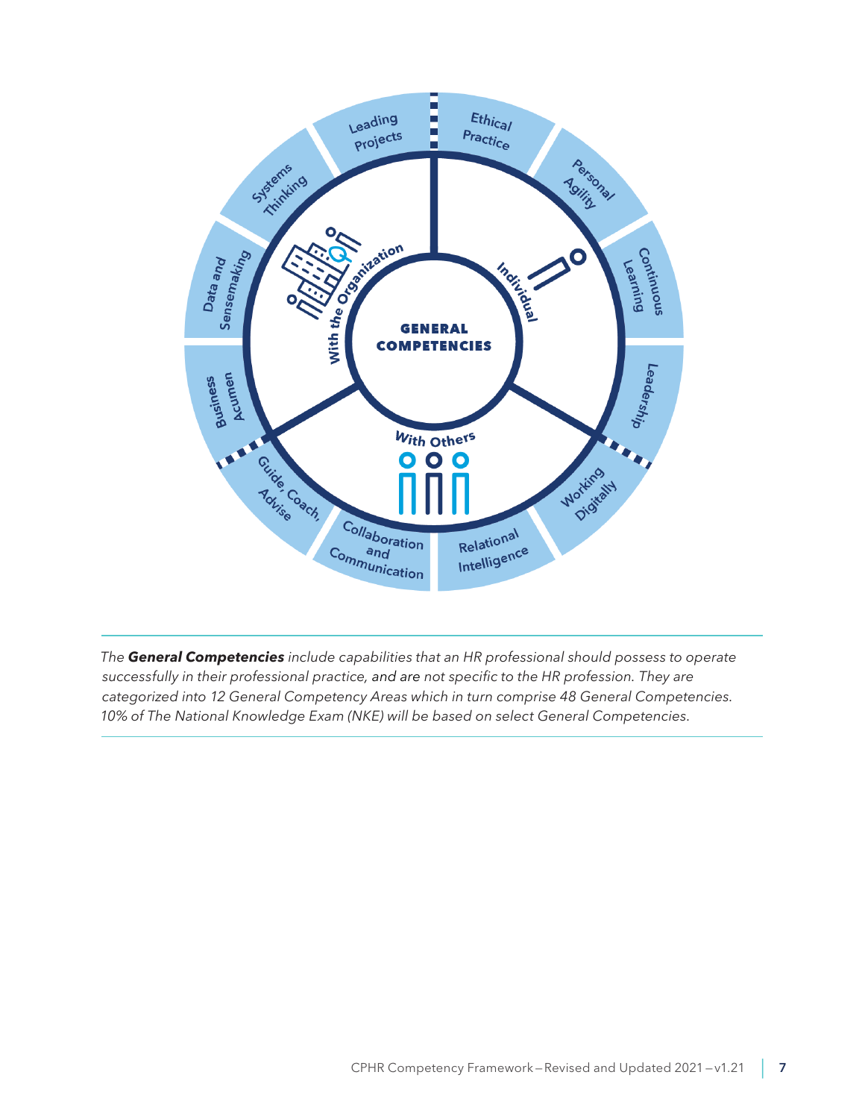

*The General Competencies include capabilities that an HR professional should possess to operate successfully in their professional practice, and are not specific to the HR profession. They are categorized into 12 General Competency Areas which in turn comprise 48 General Competencies. 10% of The National Knowledge Exam (NKE) will be based on select General Competencies.*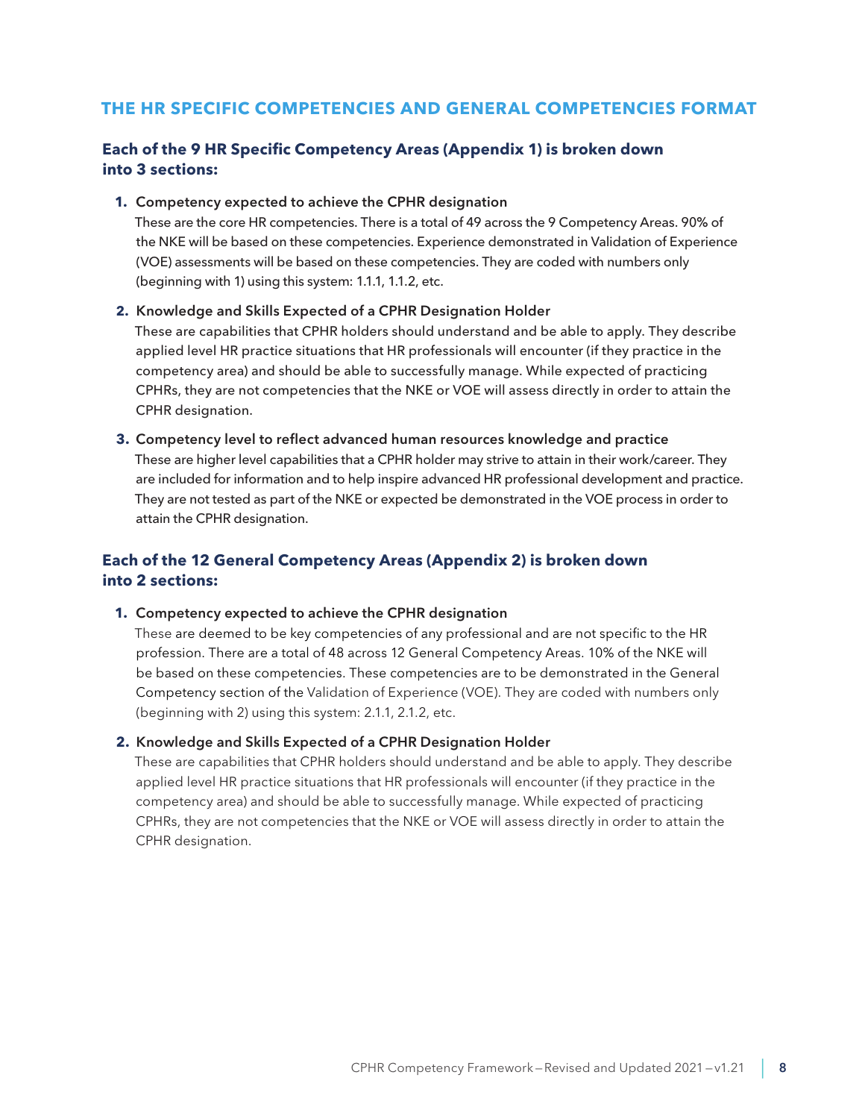# **THE HR SPECIFIC COMPETENCIES AND GENERAL COMPETENCIES FORMAT**

## **Each of the 9 HR Specific Competency Areas (Appendix 1) is broken down into 3 sections:**

#### **1.** Competency expected to achieve the CPHR designation

These are the core HR competencies. There is a total of 49 across the 9 Competency Areas. 90% of the NKE will be based on these competencies. Experience demonstrated in Validation of Experience (VOE) assessments will be based on these competencies. They are coded with numbers only (beginning with 1) using this system: 1.1.1, 1.1.2, etc.

#### **2.** Knowledge and Skills Expected of a CPHR Designation Holder

These are capabilities that CPHR holders should understand and be able to apply. They describe applied level HR practice situations that HR professionals will encounter (if they practice in the competency area) and should be able to successfully manage. While expected of practicing CPHRs, they are not competencies that the NKE or VOE will assess directly in order to attain the CPHR designation.

# **3.** Competency level to reflect advanced human resources knowledge and practice These are higher level capabilities that a CPHR holder may strive to attain in their work/career. They are included for information and to help inspire advanced HR professional development and practice. They are not tested as part of the NKE or expected be demonstrated in the VOE process in order to attain the CPHR designation.

# **Each of the 12 General Competency Areas (Appendix 2) is broken down into 2 sections:**

#### **1.** Competency expected to achieve the CPHR designation

These are deemed to be key competencies of any professional and are not specific to the HR profession. There are a total of 48 across 12 General Competency Areas. 10% of the NKE will be based on these competencies. These competencies are to be demonstrated in the General Competency section of the Validation of Experience (VOE). They are coded with numbers only (beginning with 2) using this system: 2.1.1, 2.1.2, etc.

#### **2.** Knowledge and Skills Expected of a CPHR Designation Holder

These are capabilities that CPHR holders should understand and be able to apply. They describe applied level HR practice situations that HR professionals will encounter (if they practice in the competency area) and should be able to successfully manage. While expected of practicing CPHRs, they are not competencies that the NKE or VOE will assess directly in order to attain the CPHR designation.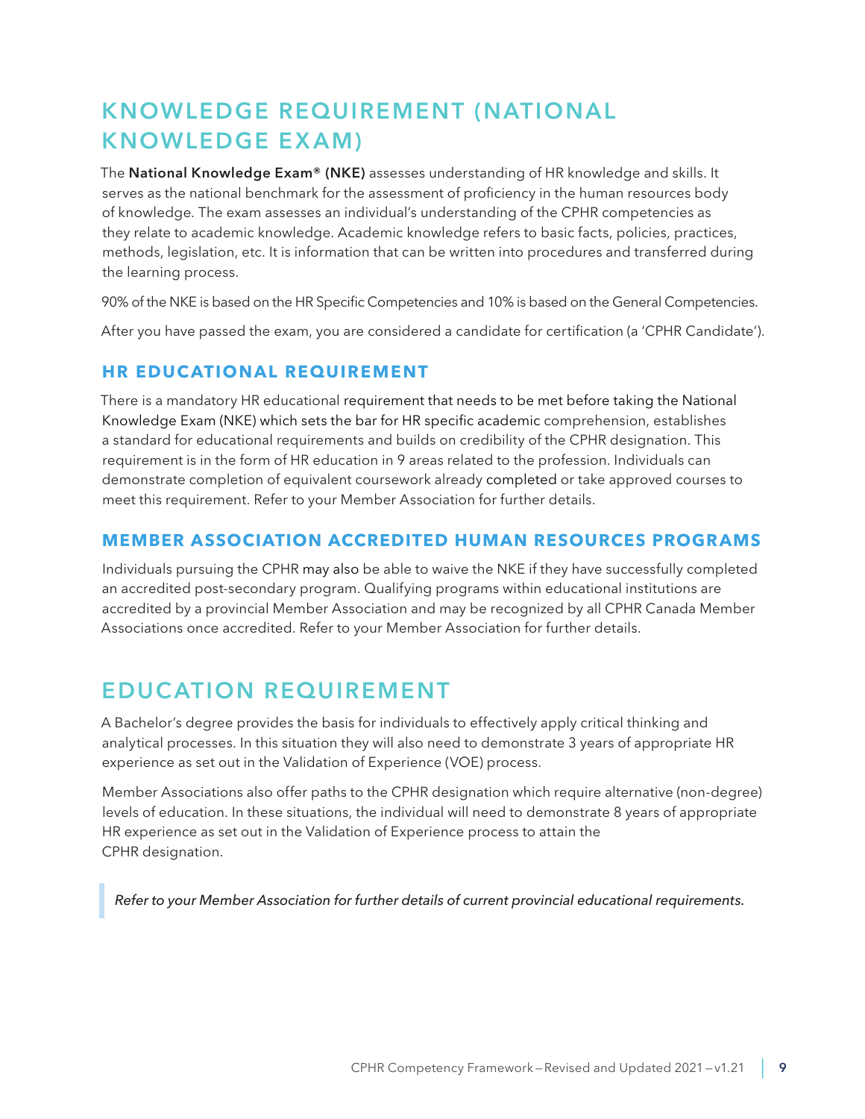# <span id="page-8-0"></span>KNOWLEDGE REQUIREMENT (NATIONAL KNOWLEDGE EX AM)

The National Knowledge Exam® (NKE) assesses understanding of HR knowledge and skills. It serves as the national benchmark for the assessment of proficiency in the human resources body of knowledge. The exam assesses an individual's understanding of the CPHR competencies as they relate to academic knowledge. Academic knowledge refers to basic facts, policies, practices, methods, legislation, etc. It is information that can be written into procedures and transferred during the learning process.

90% of the NKE is based on the HR Specific Competencies and 10% is based on the General Competencies.

After you have passed the exam, you are considered a candidate for certification (a 'CPHR Candidate').

# **HR EDUCATIONAL REQUIREMENT**

There is a mandatory HR educational requirement that needs to be met before taking the National Knowledge Exam (NKE) which sets the bar for HR specific academic comprehension, establishes a standard for educational requirements and builds on credibility of the CPHR designation. This requirement is in the form of HR education in 9 areas related to the profession. Individuals can demonstrate completion of equivalent coursework already completed or take approved courses to meet this requirement. Refer to your Member Association for further details.

# **MEMBER ASSOCIATION ACCREDITED HUMAN RESOURCES PROGRAMS**

Individuals pursuing the CPHR may also be able to waive the NKE if they have successfully completed an accredited post-secondary program. Qualifying programs within educational institutions are accredited by a provincial Member Association and may be recognized by all CPHR Canada Member Associations once accredited. Refer to your Member Association for further details.

# EDUC ATION REQUIREMENT

A Bachelor's degree provides the basis for individuals to effectively apply critical thinking and analytical processes. In this situation they will also need to demonstrate 3 years of appropriate HR experience as set out in the Validation of Experience (VOE) process.

Member Associations also offer paths to the CPHR designation which require alternative (non-degree) levels of education. In these situations, the individual will need to demonstrate 8 years of appropriate HR experience as set out in the Validation of Experience process to attain the CPHR designation.

*Refer to your Member Association for further details of current provincial educational requirements.*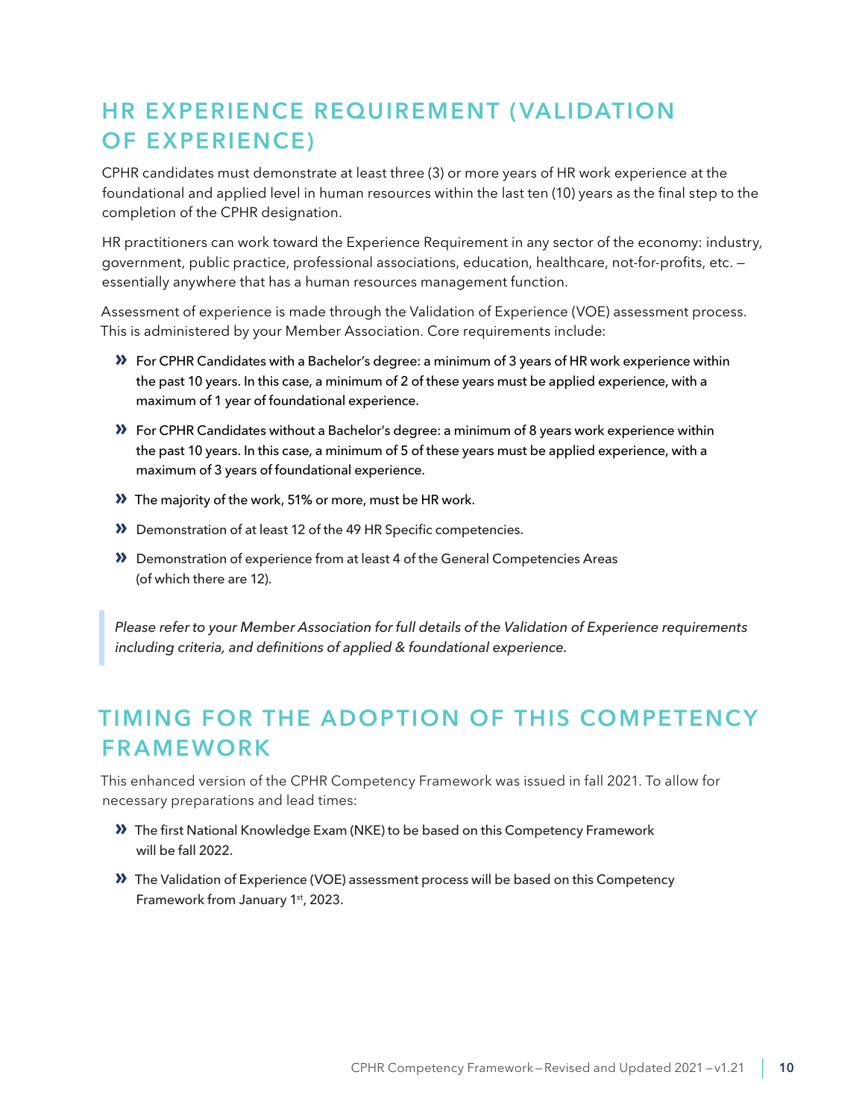# <span id="page-9-0"></span>HR EXPERIENCE REQUIREMENT (VALIDATION OF EXPERIENCE)

CPHR candidates must demonstrate at least three (3) or more years of HR work experience at the foundational and applied level in human resources within the last ten (10) years as the final step to the completion of the CPHR designation.

HR practitioners can work toward the Experience Requirement in any sector of the economy: industry, government, public practice, professional associations, education, healthcare, not-for-profits, etc. essentially anywhere that has a human resources management function.

Assessment of experience is made through the Validation of Experience (VOE) assessment process. This is administered by your Member Association. Core requirements include:

- **»** For CPHR Candidates with a Bachelor's degree: a minimum of 3 years of HR work experience within the past 10 years. In this case, a minimum of 2 of these years must be applied experience, with a maximum of 1 year of foundational experience.
- **»** For CPHR Candidates without a Bachelor's degree: a minimum of 8 years work experience within the past 10 years. In this case, a minimum of 5 of these years must be applied experience, with a maximum of 3 years of foundational experience.
- **»** The majority of the work, 51% or more, must be HR work.
- **»** Demonstration of at least 12 of the 49 HR Specific competencies.
- **»** Demonstration of experience from at least 4 of the General Competencies Areas (of which there are 12).

*Please refer to your Member Association for full details of the Validation of Experience requirements including criteria, and definitions of applied & foundational experience.*

# TIMING FOR THE ADOPTION OF THIS COMPETENCY FRAMEWORK

This enhanced version of the CPHR Competency Framework was issued in fall 2021. To allow for necessary preparations and lead times:

- **»** The first National Knowledge Exam (NKE) to be based on this Competency Framework will be fall 2022.
- **»** The Validation of Experience (VOE) assessment process will be based on this Competency Framework from January 1<sup>st</sup>, 2023.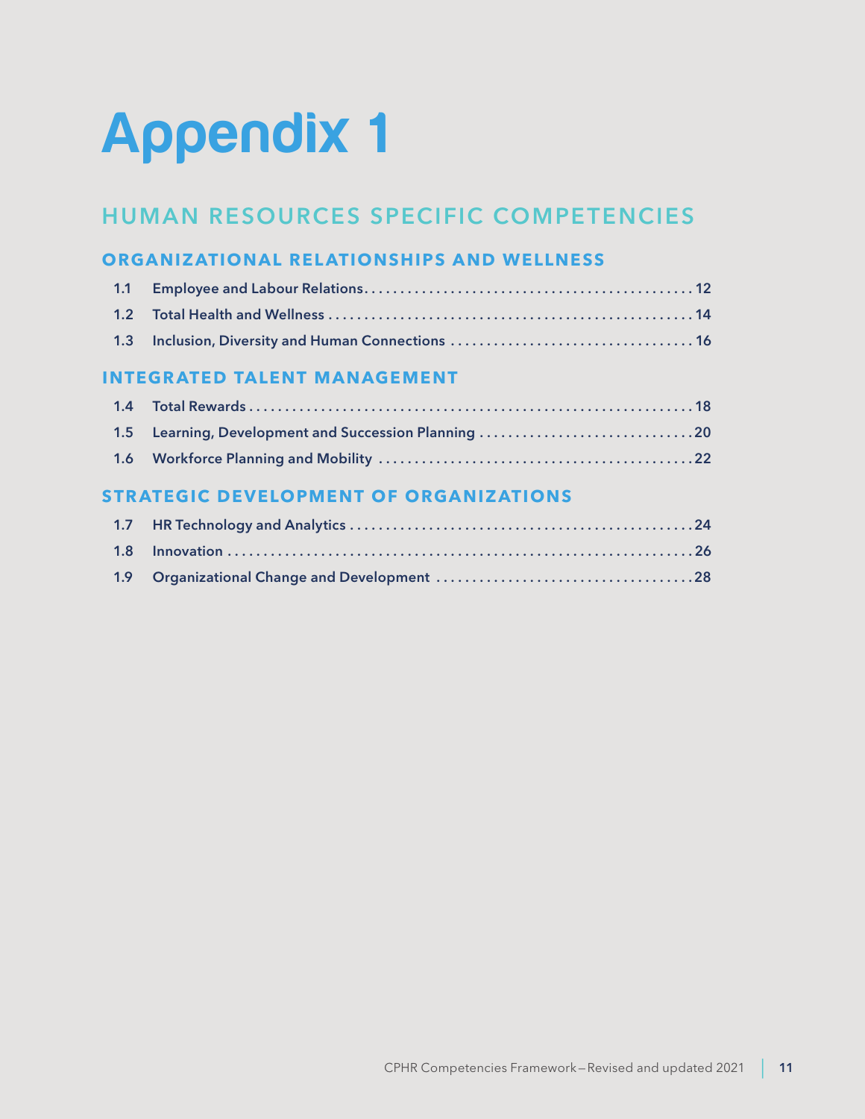# <span id="page-10-0"></span>Appendix 1

# HUMAN RESOURCES SPECIFIC COMPETENCIES

# **ORGANIZATIONAL RELATIONSHIPS AND WELLNESS**

# **INTEGRATED TALENT MANAGEMENT**

| 1.5 Learning, Development and Succession Planning 20 |  |
|------------------------------------------------------|--|
|                                                      |  |

# **STRATEGIC DEVELOPMENT OF ORGANIZATIONS**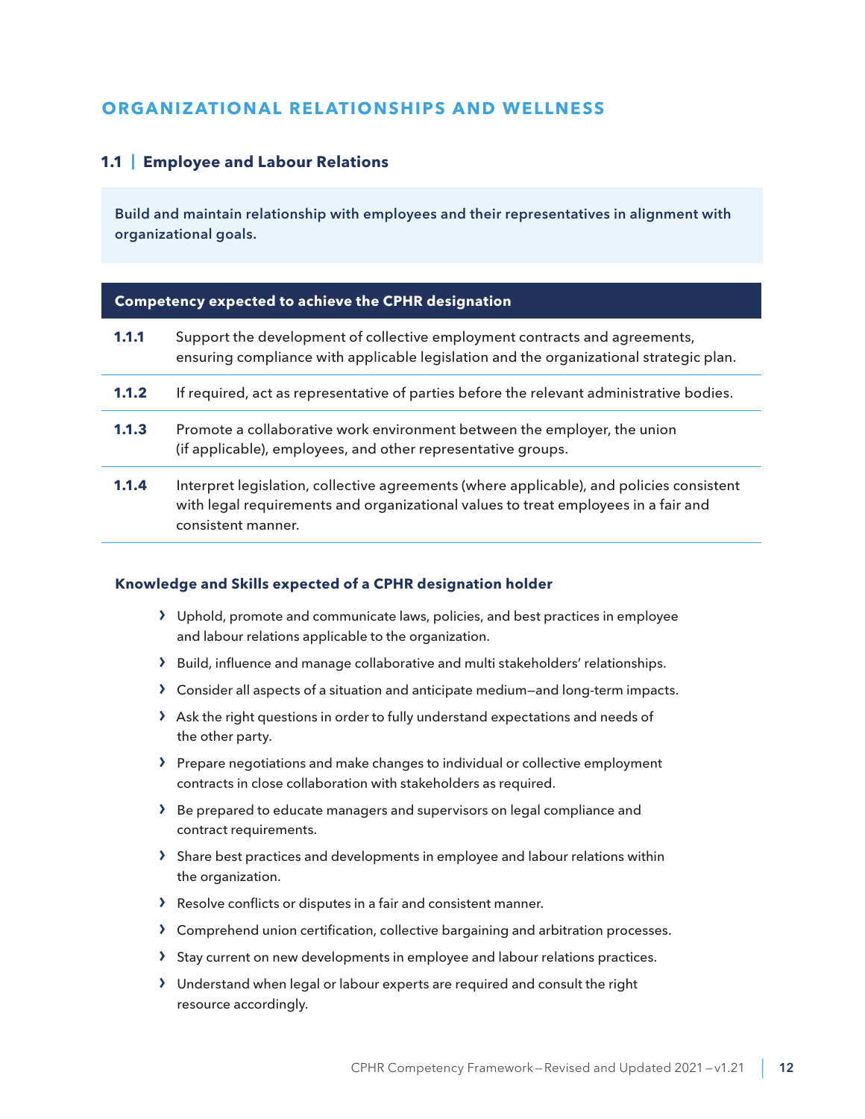# <span id="page-11-0"></span>**ORGANIZATIONAL RELATIONSHIPS AND WELLNESS**

# **1.1 | Employee and Labour Relations**

Build and maintain relationship with employees and their representatives in alignment with organizational goals.

#### **Competency expected to achieve the CPHR designation**

| 1.1.1 | Support the development of collective employment contracts and agreements,<br>ensuring compliance with applicable legislation and the organizational strategic plan.                                 |
|-------|------------------------------------------------------------------------------------------------------------------------------------------------------------------------------------------------------|
| 1.1.2 | If required, act as representative of parties before the relevant administrative bodies.                                                                                                             |
| 1.1.3 | Promote a collaborative work environment between the employer, the union<br>(if applicable), employees, and other representative groups.                                                             |
| 1.1.4 | Interpret legislation, collective agreements (where applicable), and policies consistent<br>with legal requirements and organizational values to treat employees in a fair and<br>consistent manner. |

- › Uphold, promote and communicate laws, policies, and best practices in employee and labour relations applicable to the organization.
- › Build, influence and manage collaborative and multi stakeholders' relationships.
- › Consider all aspects of a situation and anticipate medium—and long-term impacts.
- › Ask the right questions in order to fully understand expectations and needs of the other party.
- › Prepare negotiations and make changes to individual or collective employment contracts in close collaboration with stakeholders as required.
- › Be prepared to educate managers and supervisors on legal compliance and contract requirements.
- › Share best practices and developments in employee and labour relations within the organization.
- › Resolve conflicts or disputes in a fair and consistent manner.
- › Comprehend union certification, collective bargaining and arbitration processes.
- > Stay current on new developments in employee and labour relations practices.
- › Understand when legal or labour experts are required and consult the right resource accordingly.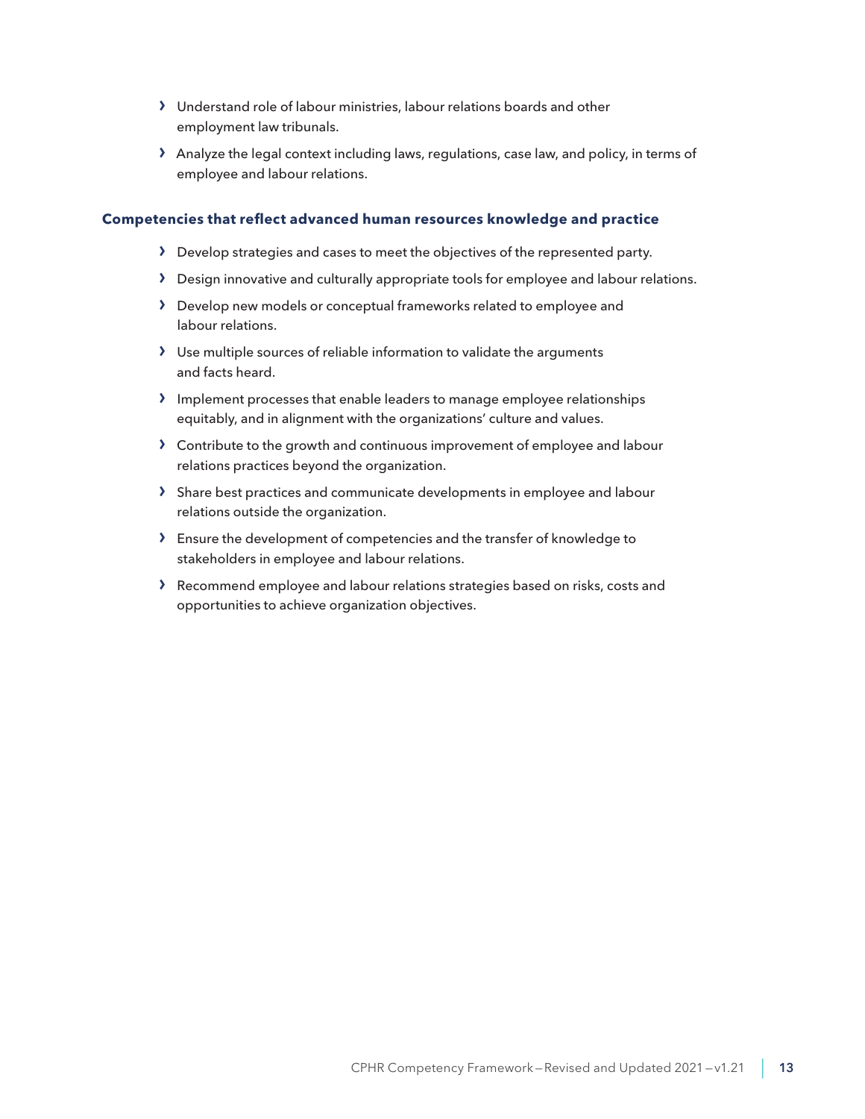- › Understand role of labour ministries, labour relations boards and other employment law tribunals.
- › Analyze the legal context including laws, regulations, case law, and policy, in terms of employee and labour relations.

- › Develop strategies and cases to meet the objectives of the represented party.
- › Design innovative and culturally appropriate tools for employee and labour relations.
- › Develop new models or conceptual frameworks related to employee and labour relations.
- › Use multiple sources of reliable information to validate the arguments and facts heard.
- › Implement processes that enable leaders to manage employee relationships equitably, and in alignment with the organizations' culture and values.
- › Contribute to the growth and continuous improvement of employee and labour relations practices beyond the organization.
- › Share best practices and communicate developments in employee and labour relations outside the organization.
- › Ensure the development of competencies and the transfer of knowledge to stakeholders in employee and labour relations.
- › Recommend employee and labour relations strategies based on risks, costs and opportunities to achieve organization objectives.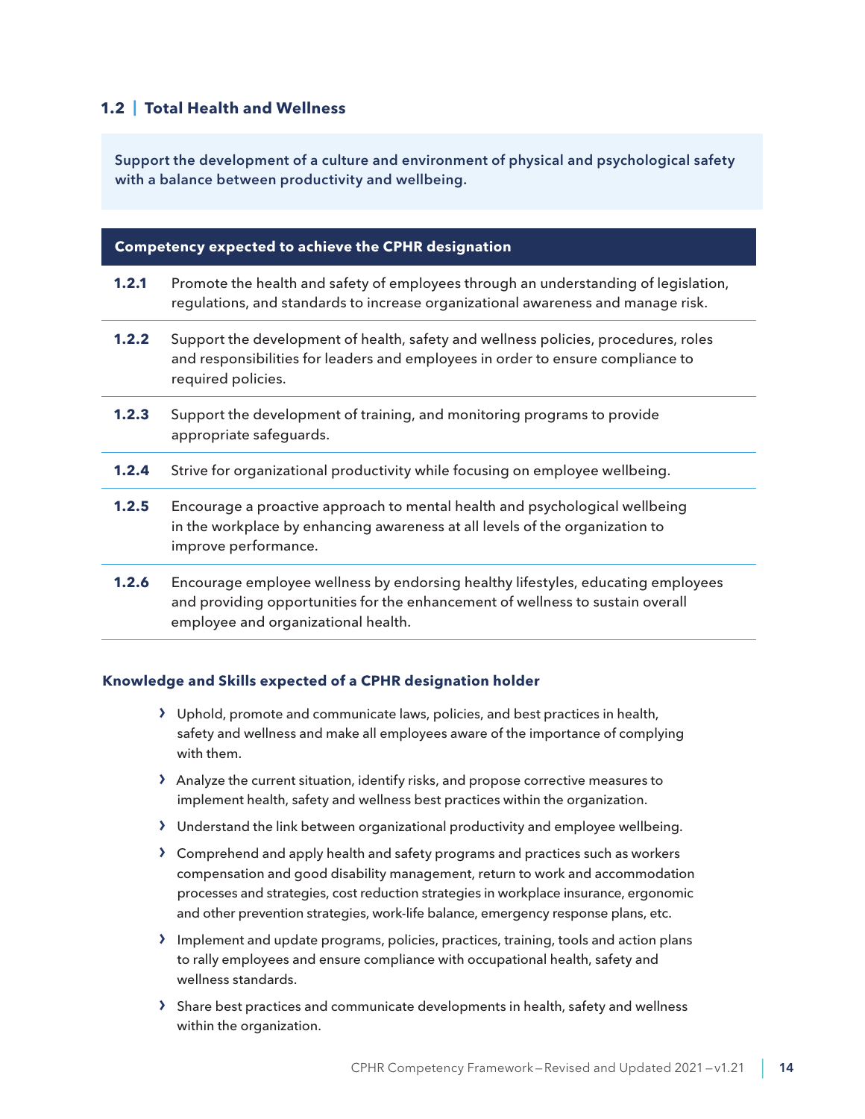# <span id="page-13-0"></span>**1.2 | Total Health and Wellness**

Support the development of a culture and environment of physical and psychological safety with a balance between productivity and wellbeing.

#### **Competency expected to achieve the CPHR designation**

- **1.2.1** Promote the health and safety of employees through an understanding of legislation, regulations, and standards to increase organizational awareness and manage risk.
- **1.2.2** Support the development of health, safety and wellness policies, procedures, roles and responsibilities for leaders and employees in order to ensure compliance to required policies.
- **1.2.3** Support the development of training, and monitoring programs to provide appropriate safeguards.
- **1.2.4** Strive for organizational productivity while focusing on employee wellbeing.
- **1.2.5** Encourage a proactive approach to mental health and psychological wellbeing in the workplace by enhancing awareness at all levels of the organization to improve performance.
- **1.2.6** Encourage employee wellness by endorsing healthy lifestyles, educating employees and providing opportunities for the enhancement of wellness to sustain overall employee and organizational health.

- › Uphold, promote and communicate laws, policies, and best practices in health, safety and wellness and make all employees aware of the importance of complying with them.
- › Analyze the current situation, identify risks, and propose corrective measures to implement health, safety and wellness best practices within the organization.
- › Understand the link between organizational productivity and employee wellbeing.
- › Comprehend and apply health and safety programs and practices such as workers compensation and good disability management, return to work and accommodation processes and strategies, cost reduction strategies in workplace insurance, ergonomic and other prevention strategies, work-life balance, emergency response plans, etc.
- › Implement and update programs, policies, practices, training, tools and action plans to rally employees and ensure compliance with occupational health, safety and wellness standards.
- › Share best practices and communicate developments in health, safety and wellness within the organization.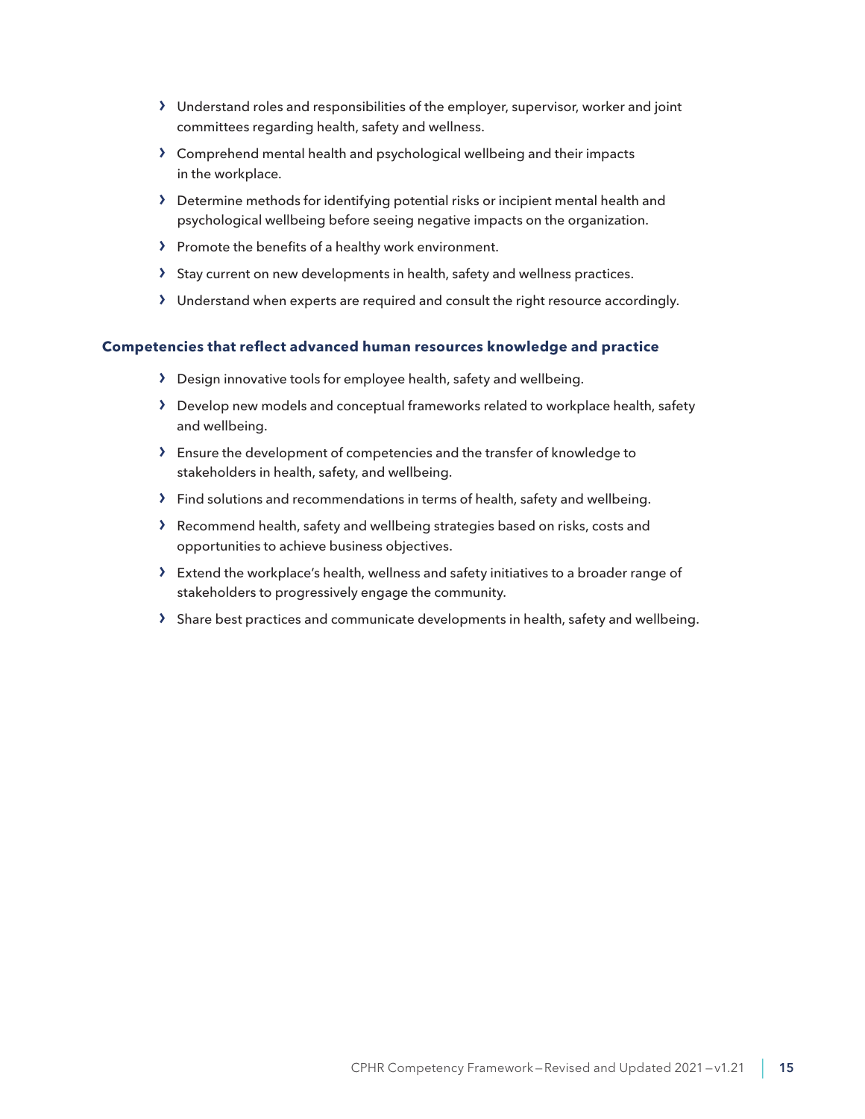- › Understand roles and responsibilities of the employer, supervisor, worker and joint committees regarding health, safety and wellness.
- › Comprehend mental health and psychological wellbeing and their impacts in the workplace.
- › Determine methods for identifying potential risks or incipient mental health and psychological wellbeing before seeing negative impacts on the organization.
- › Promote the benefits of a healthy work environment.
- › Stay current on new developments in health, safety and wellness practices.
- › Understand when experts are required and consult the right resource accordingly.

- › Design innovative tools for employee health, safety and wellbeing.
- › Develop new models and conceptual frameworks related to workplace health, safety and wellbeing.
- › Ensure the development of competencies and the transfer of knowledge to stakeholders in health, safety, and wellbeing.
- › Find solutions and recommendations in terms of health, safety and wellbeing.
- › Recommend health, safety and wellbeing strategies based on risks, costs and opportunities to achieve business objectives.
- › Extend the workplace's health, wellness and safety initiatives to a broader range of stakeholders to progressively engage the community.
- › Share best practices and communicate developments in health, safety and wellbeing.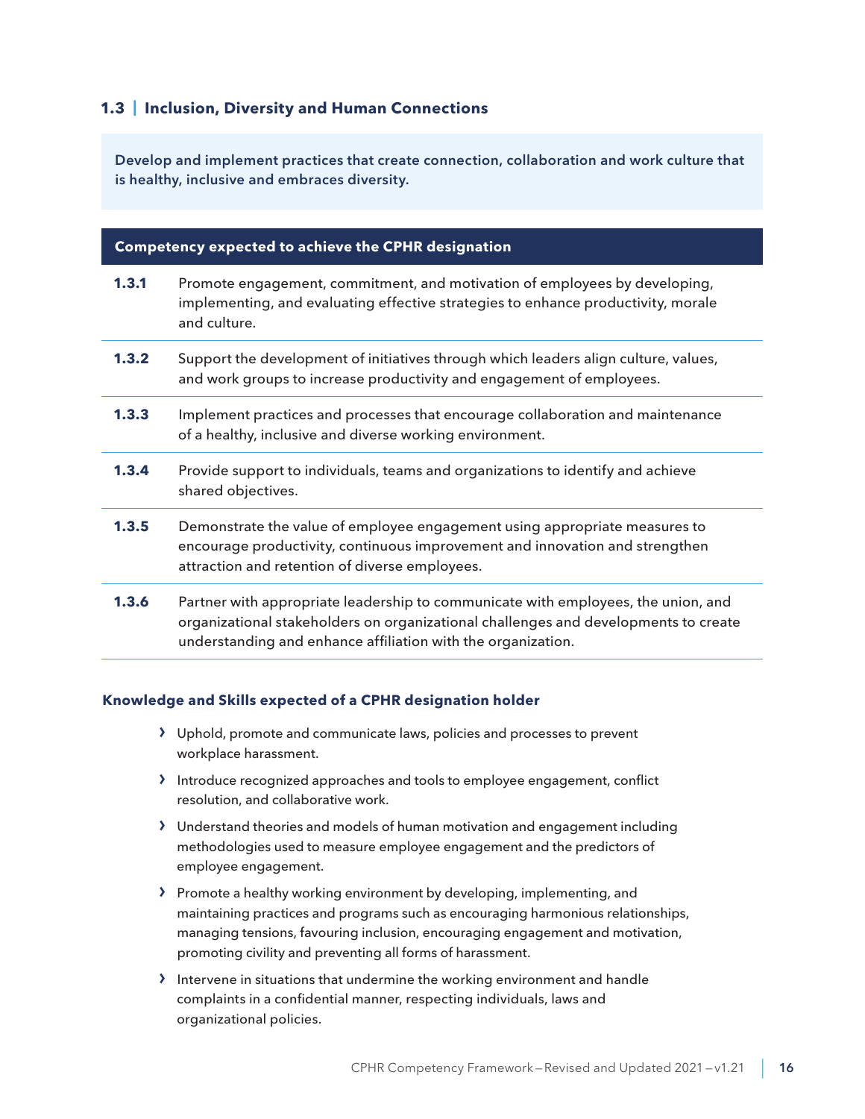# <span id="page-15-0"></span>**1.3 | Inclusion, Diversity and Human Connections**

Develop and implement practices that create connection, collaboration and work culture that is healthy, inclusive and embraces diversity.

#### **Competency expected to achieve the CPHR designation**

- **1.3.1** Promote engagement, commitment, and motivation of employees by developing, implementing, and evaluating effective strategies to enhance productivity, morale and culture.
- **1.3.2** Support the development of initiatives through which leaders align culture, values, and work groups to increase productivity and engagement of employees.
- **1.3.3** Implement practices and processes that encourage collaboration and maintenance of a healthy, inclusive and diverse working environment.
- **1.3.4** Provide support to individuals, teams and organizations to identify and achieve shared objectives.
- **1.3.5** Demonstrate the value of employee engagement using appropriate measures to encourage productivity, continuous improvement and innovation and strengthen attraction and retention of diverse employees.
- **1.3.6** Partner with appropriate leadership to communicate with employees, the union, and organizational stakeholders on organizational challenges and developments to create understanding and enhance affiliation with the organization.

- › Uphold, promote and communicate laws, policies and processes to prevent workplace harassment.
- › Introduce recognized approaches and tools to employee engagement, conflict resolution, and collaborative work.
- › Understand theories and models of human motivation and engagement including methodologies used to measure employee engagement and the predictors of employee engagement.
- › Promote a healthy working environment by developing, implementing, and maintaining practices and programs such as encouraging harmonious relationships, managing tensions, favouring inclusion, encouraging engagement and motivation, promoting civility and preventing all forms of harassment.
- › Intervene in situations that undermine the working environment and handle complaints in a confidential manner, respecting individuals, laws and organizational policies.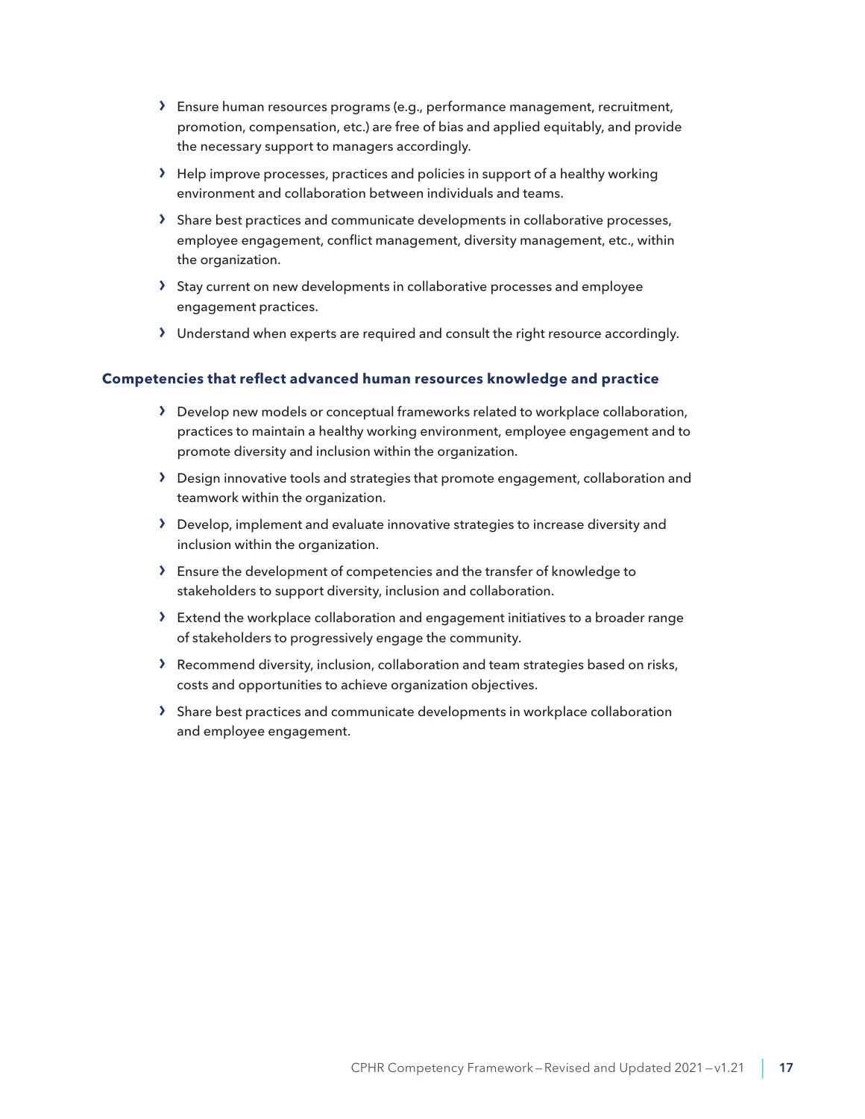- › Ensure human resources programs (e.g., performance management, recruitment, promotion, compensation, etc.) are free of bias and applied equitably, and provide the necessary support to managers accordingly.
- $\lambda$  Help improve processes, practices and policies in support of a healthy working environment and collaboration between individuals and teams.
- › Share best practices and communicate developments in collaborative processes, employee engagement, conflict management, diversity management, etc., within the organization.
- › Stay current on new developments in collaborative processes and employee engagement practices.
- › Understand when experts are required and consult the right resource accordingly.

- › Develop new models or conceptual frameworks related to workplace collaboration, practices to maintain a healthy working environment, employee engagement and to promote diversity and inclusion within the organization.
- › Design innovative tools and strategies that promote engagement, collaboration and teamwork within the organization.
- › Develop, implement and evaluate innovative strategies to increase diversity and inclusion within the organization.
- › Ensure the development of competencies and the transfer of knowledge to stakeholders to support diversity, inclusion and collaboration.
- › Extend the workplace collaboration and engagement initiatives to a broader range of stakeholders to progressively engage the community.
- › Recommend diversity, inclusion, collaboration and team strategies based on risks, costs and opportunities to achieve organization objectives.
- › Share best practices and communicate developments in workplace collaboration and employee engagement.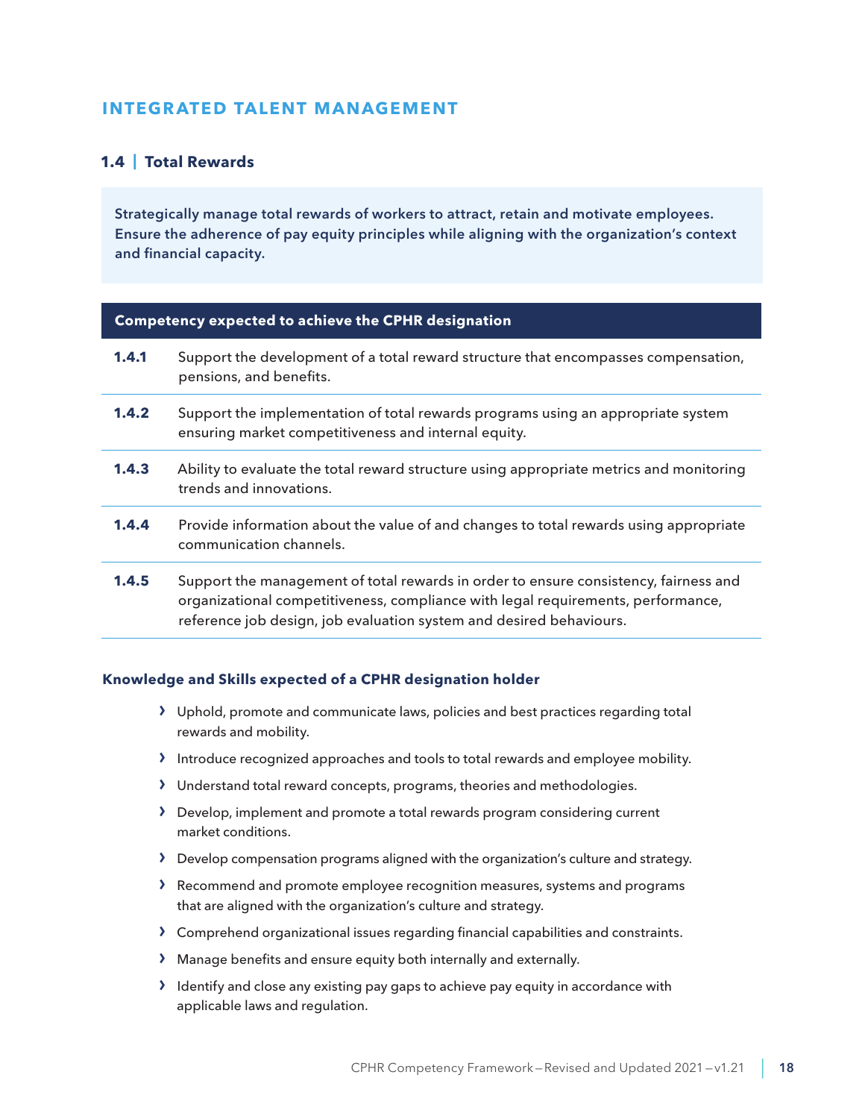# <span id="page-17-0"></span>**INTEGRATED TALENT MANAGEMENT**

# **1.4 | Total Rewards**

Strategically manage total rewards of workers to attract, retain and motivate employees. Ensure the adherence of pay equity principles while aligning with the organization's context and financial capacity.

#### **Competency expected to achieve the CPHR designation**

| 1.4.1 | Support the development of a total reward structure that encompasses compensation,<br>pensions, and benefits.                                                                                                                                   |
|-------|-------------------------------------------------------------------------------------------------------------------------------------------------------------------------------------------------------------------------------------------------|
| 1.4.2 | Support the implementation of total rewards programs using an appropriate system<br>ensuring market competitiveness and internal equity.                                                                                                        |
| 1.4.3 | Ability to evaluate the total reward structure using appropriate metrics and monitoring<br>trends and innovations.                                                                                                                              |
| 1.4.4 | Provide information about the value of and changes to total rewards using appropriate<br>communication channels.                                                                                                                                |
| 1.4.5 | Support the management of total rewards in order to ensure consistency, fairness and<br>organizational competitiveness, compliance with legal requirements, performance,<br>reference job design, job evaluation system and desired behaviours. |

- › Uphold, promote and communicate laws, policies and best practices regarding total rewards and mobility.
- › Introduce recognized approaches and tools to total rewards and employee mobility.
- › Understand total reward concepts, programs, theories and methodologies.
- › Develop, implement and promote a total rewards program considering current market conditions.
- › Develop compensation programs aligned with the organization's culture and strategy.
- › Recommend and promote employee recognition measures, systems and programs that are aligned with the organization's culture and strategy.
- › Comprehend organizational issues regarding financial capabilities and constraints.
- › Manage benefits and ensure equity both internally and externally.
- › Identify and close any existing pay gaps to achieve pay equity in accordance with applicable laws and regulation.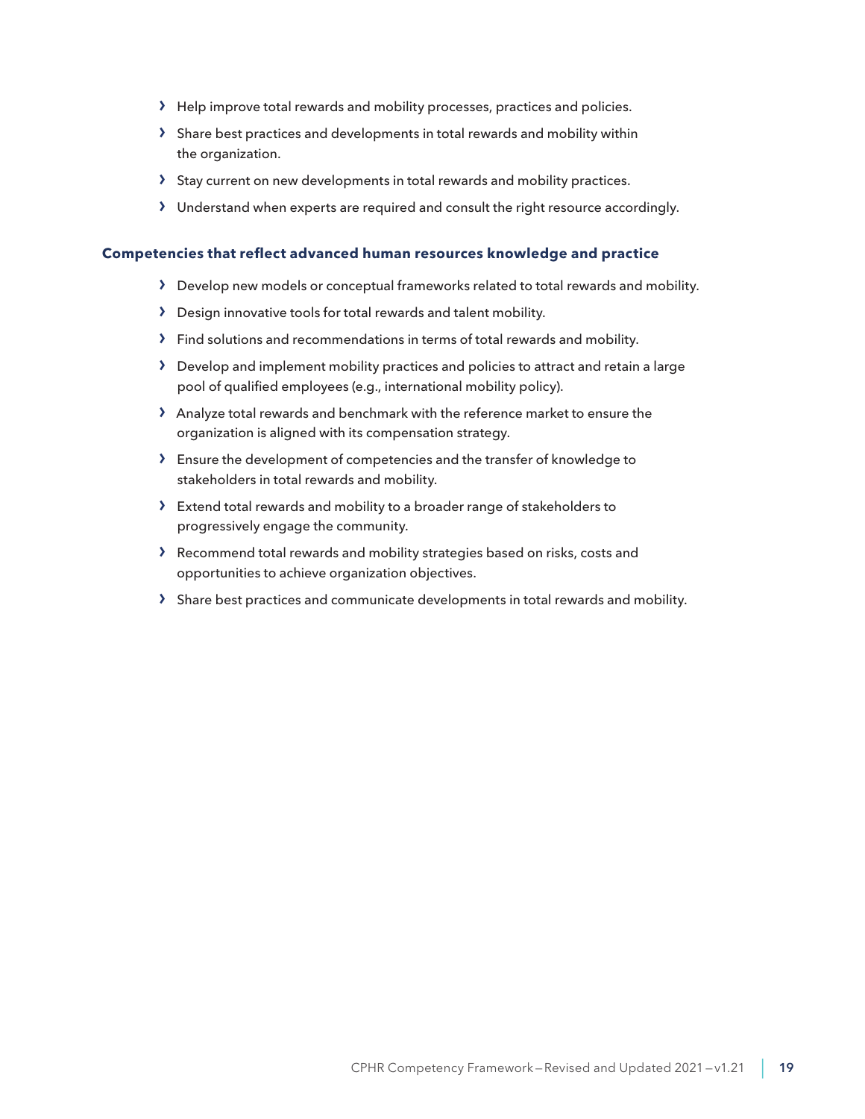- › Help improve total rewards and mobility processes, practices and policies.
- › Share best practices and developments in total rewards and mobility within the organization.
- › Stay current on new developments in total rewards and mobility practices.
- › Understand when experts are required and consult the right resource accordingly.

- › Develop new models or conceptual frameworks related to total rewards and mobility.
- › Design innovative tools for total rewards and talent mobility.
- › Find solutions and recommendations in terms of total rewards and mobility.
- › Develop and implement mobility practices and policies to attract and retain a large pool of qualified employees (e.g., international mobility policy).
- › Analyze total rewards and benchmark with the reference market to ensure the organization is aligned with its compensation strategy.
- › Ensure the development of competencies and the transfer of knowledge to stakeholders in total rewards and mobility.
- › Extend total rewards and mobility to a broader range of stakeholders to progressively engage the community.
- › Recommend total rewards and mobility strategies based on risks, costs and opportunities to achieve organization objectives.
- › Share best practices and communicate developments in total rewards and mobility.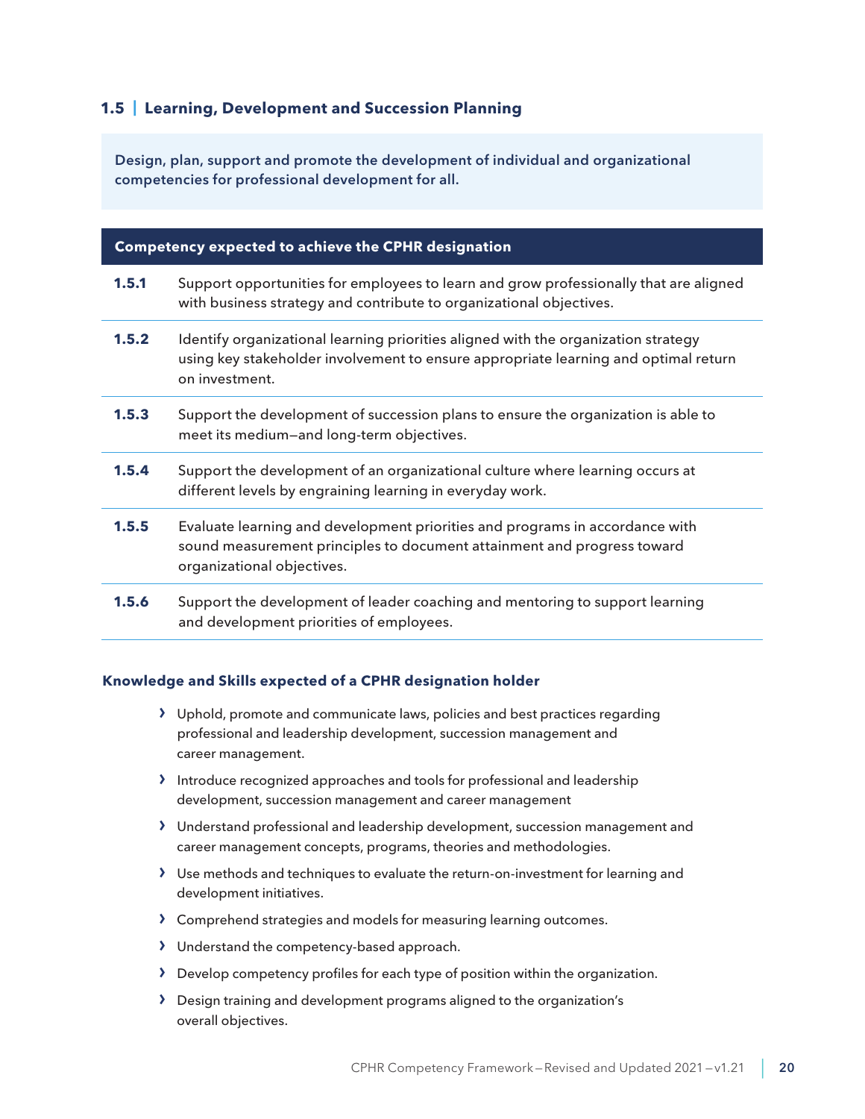# <span id="page-19-0"></span>**1.5 | Learning, Development and Succession Planning**

Design, plan, support and promote the development of individual and organizational competencies for professional development for all.

#### **Competency expected to achieve the CPHR designation**

- **1.5.1** Support opportunities for employees to learn and grow professionally that are aligned with business strategy and contribute to organizational objectives.
- **1.5.2** Identify organizational learning priorities aligned with the organization strategy using key stakeholder involvement to ensure appropriate learning and optimal return on investment.
- **1.5.3** Support the development of succession plans to ensure the organization is able to meet its medium—and long-term objectives.
- **1.5.4** Support the development of an organizational culture where learning occurs at different levels by engraining learning in everyday work.
- **1.5.5** Evaluate learning and development priorities and programs in accordance with sound measurement principles to document attainment and progress toward organizational objectives.
- **1.5.6** Support the development of leader coaching and mentoring to support learning and development priorities of employees.

- › Uphold, promote and communicate laws, policies and best practices regarding professional and leadership development, succession management and career management.
- › Introduce recognized approaches and tools for professional and leadership development, succession management and career management
- › Understand professional and leadership development, succession management and career management concepts, programs, theories and methodologies.
- › Use methods and techniques to evaluate the return-on-investment for learning and development initiatives.
- › Comprehend strategies and models for measuring learning outcomes.
- › Understand the competency-based approach.
- › Develop competency profiles for each type of position within the organization.
- › Design training and development programs aligned to the organization's overall objectives.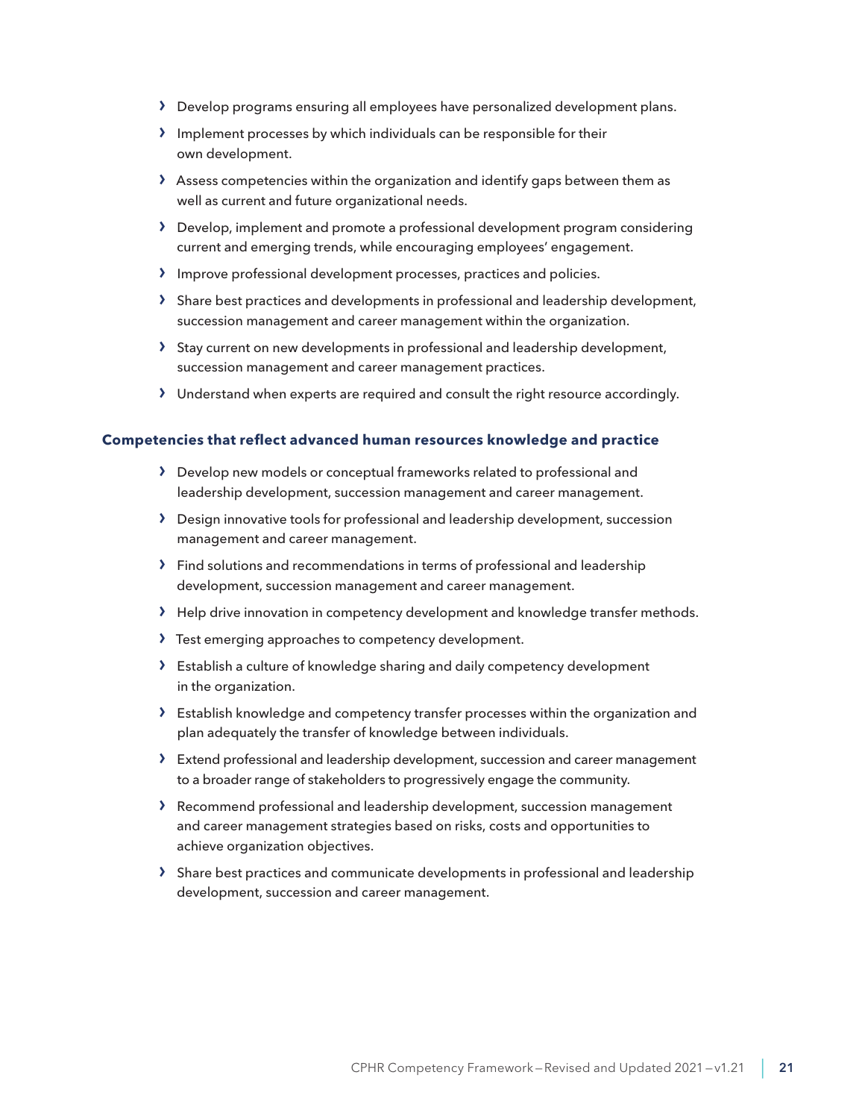- › Develop programs ensuring all employees have personalized development plans.
- › Implement processes by which individuals can be responsible for their own development.
- › Assess competencies within the organization and identify gaps between them as well as current and future organizational needs.
- › Develop, implement and promote a professional development program considering current and emerging trends, while encouraging employees' engagement.
- › Improve professional development processes, practices and policies.
- › Share best practices and developments in professional and leadership development, succession management and career management within the organization.
- › Stay current on new developments in professional and leadership development, succession management and career management practices.
- › Understand when experts are required and consult the right resource accordingly.

- › Develop new models or conceptual frameworks related to professional and leadership development, succession management and career management.
- › Design innovative tools for professional and leadership development, succession management and career management.
- › Find solutions and recommendations in terms of professional and leadership development, succession management and career management.
- > Help drive innovation in competency development and knowledge transfer methods.
- › Test emerging approaches to competency development.
- › Establish a culture of knowledge sharing and daily competency development in the organization.
- › Establish knowledge and competency transfer processes within the organization and plan adequately the transfer of knowledge between individuals.
- › Extend professional and leadership development, succession and career management to a broader range of stakeholders to progressively engage the community.
- › Recommend professional and leadership development, succession management and career management strategies based on risks, costs and opportunities to achieve organization objectives.
- › Share best practices and communicate developments in professional and leadership development, succession and career management.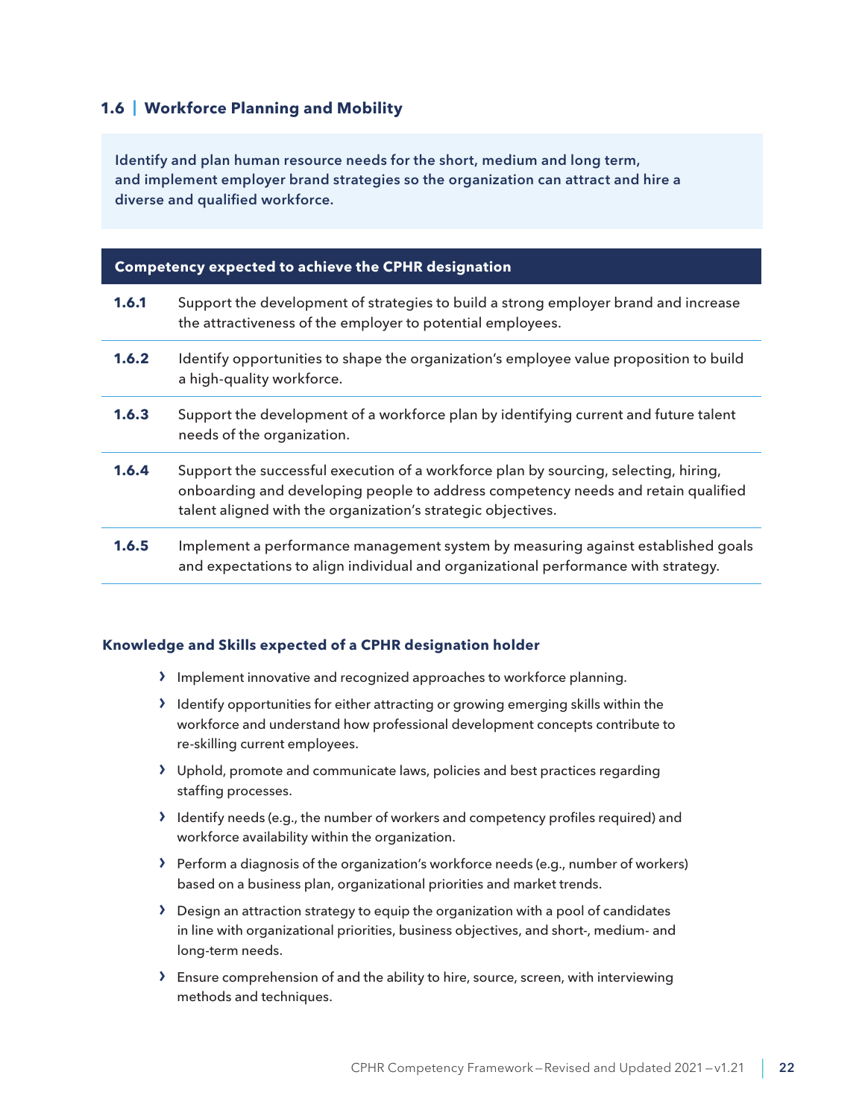## <span id="page-21-0"></span>**1.6 | Workforce Planning and Mobility**

Identify and plan human resource needs for the short, medium and long term, and implement employer brand strategies so the organization can attract and hire a diverse and qualified workforce.

### **Competency expected to achieve the CPHR designation**

**1.6.1** Support the development of strategies to build a strong employer brand and increase the attractiveness of the employer to potential employees. **1.6.2** Identify opportunities to shape the organization's employee value proposition to build a high-quality workforce. **1.6.3** Support the development of a workforce plan by identifying current and future talent needs of the organization. **1.6.4** Support the successful execution of a workforce plan by sourcing, selecting, hiring, onboarding and developing people to address competency needs and retain qualified talent aligned with the organization's strategic objectives. **1.6.5** Implement a performance management system by measuring against established goals and expectations to align individual and organizational performance with strategy.

- › Implement innovative and recognized approaches to workforce planning.
- › Identify opportunities for either attracting or growing emerging skills within the workforce and understand how professional development concepts contribute to re-skilling current employees.
- › Uphold, promote and communicate laws, policies and best practices regarding staffing processes.
- › Identify needs (e.g., the number of workers and competency profiles required) and workforce availability within the organization.
- › Perform a diagnosis of the organization's workforce needs (e.g., number of workers) based on a business plan, organizational priorities and market trends.
- $\sum$  Design an attraction strategy to equip the organization with a pool of candidates in line with organizational priorities, business objectives, and short-, medium- and long-term needs.
- › Ensure comprehension of and the ability to hire, source, screen, with interviewing methods and techniques.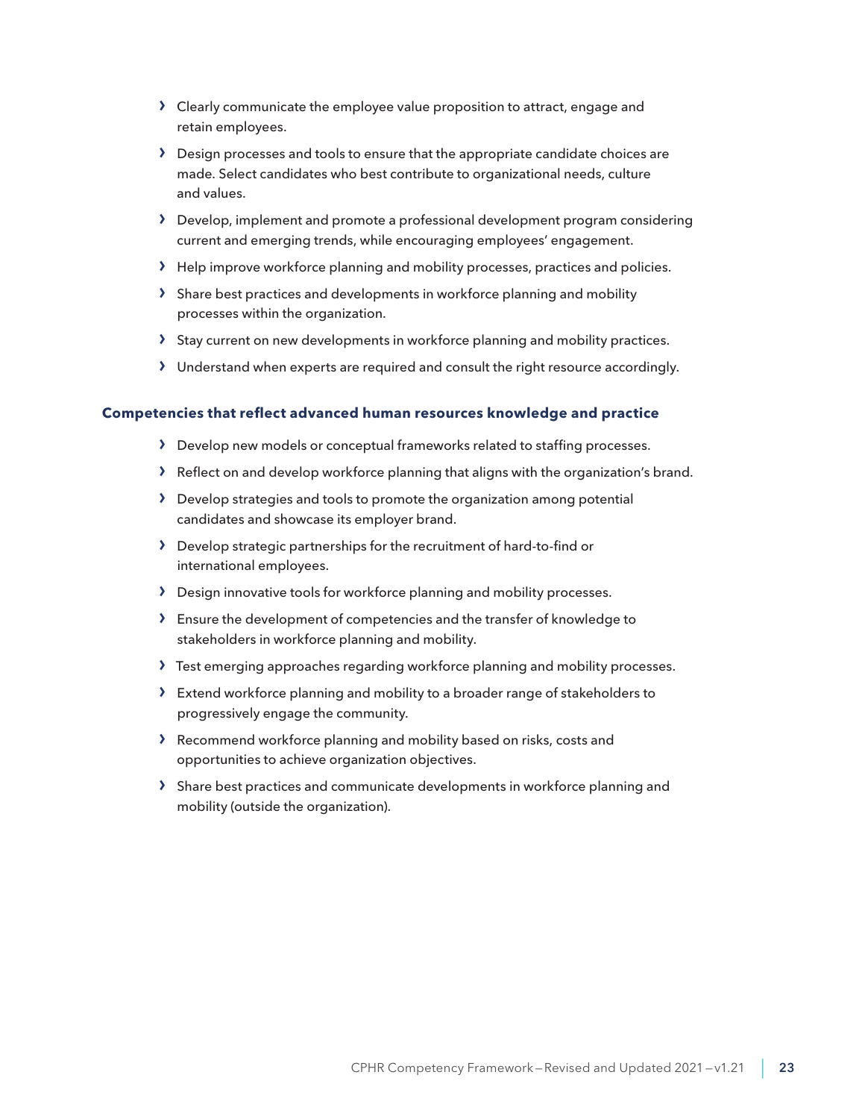- › Clearly communicate the employee value proposition to attract, engage and retain employees.
- > Design processes and tools to ensure that the appropriate candidate choices are made. Select candidates who best contribute to organizational needs, culture and values.
- › Develop, implement and promote a professional development program considering current and emerging trends, while encouraging employees' engagement.
- › Help improve workforce planning and mobility processes, practices and policies.
- › Share best practices and developments in workforce planning and mobility processes within the organization.
- > Stay current on new developments in workforce planning and mobility practices.
- › Understand when experts are required and consult the right resource accordingly.

- › Develop new models or conceptual frameworks related to staffing processes.
- › Reflect on and develop workforce planning that aligns with the organization's brand.
- › Develop strategies and tools to promote the organization among potential candidates and showcase its employer brand.
- › Develop strategic partnerships for the recruitment of hard-to-find or international employees.
- › Design innovative tools for workforce planning and mobility processes.
- › Ensure the development of competencies and the transfer of knowledge to stakeholders in workforce planning and mobility.
- › Test emerging approaches regarding workforce planning and mobility processes.
- › Extend workforce planning and mobility to a broader range of stakeholders to progressively engage the community.
- › Recommend workforce planning and mobility based on risks, costs and opportunities to achieve organization objectives.
- › Share best practices and communicate developments in workforce planning and mobility (outside the organization).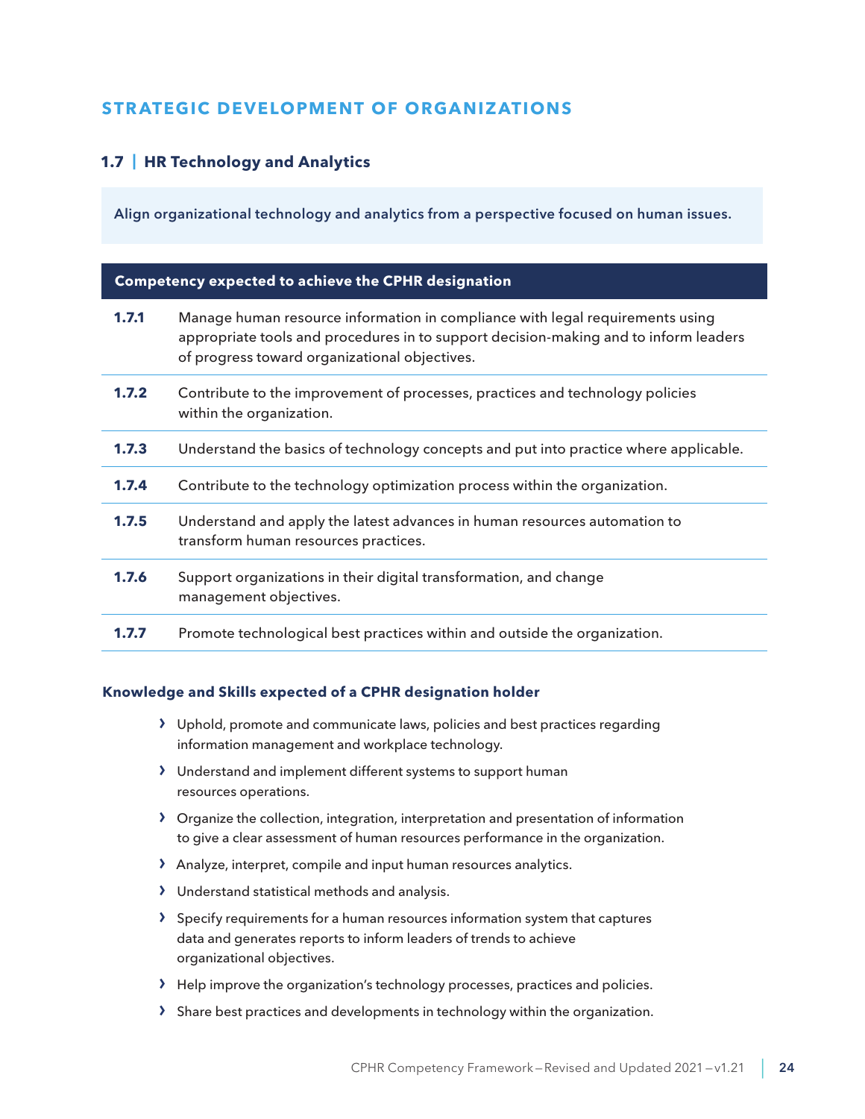# <span id="page-23-0"></span>**STRATEGIC DEVELOPMENT OF ORGANIZATIONS**

# **1.7 | HR Technology and Analytics**

Align organizational technology and analytics from a perspective focused on human issues.

#### **Competency expected to achieve the CPHR designation**

| 1.7.1 | Manage human resource information in compliance with legal requirements using<br>appropriate tools and procedures in to support decision-making and to inform leaders<br>of progress toward organizational objectives. |
|-------|------------------------------------------------------------------------------------------------------------------------------------------------------------------------------------------------------------------------|
| 1.7.2 | Contribute to the improvement of processes, practices and technology policies<br>within the organization.                                                                                                              |
| 1.7.3 | Understand the basics of technology concepts and put into practice where applicable.                                                                                                                                   |
| 1.7.4 | Contribute to the technology optimization process within the organization.                                                                                                                                             |
| 1.7.5 | Understand and apply the latest advances in human resources automation to<br>transform human resources practices.                                                                                                      |
| 1.7.6 | Support organizations in their digital transformation, and change<br>management objectives.                                                                                                                            |
| 1.7.7 | Promote technological best practices within and outside the organization.                                                                                                                                              |

- › Uphold, promote and communicate laws, policies and best practices regarding information management and workplace technology.
- › Understand and implement different systems to support human resources operations.
- › Organize the collection, integration, interpretation and presentation of information to give a clear assessment of human resources performance in the organization.
- › Analyze, interpret, compile and input human resources analytics.
- › Understand statistical methods and analysis.
- › Specify requirements for a human resources information system that captures data and generates reports to inform leaders of trends to achieve organizational objectives.
- › Help improve the organization's technology processes, practices and policies.
- › Share best practices and developments in technology within the organization.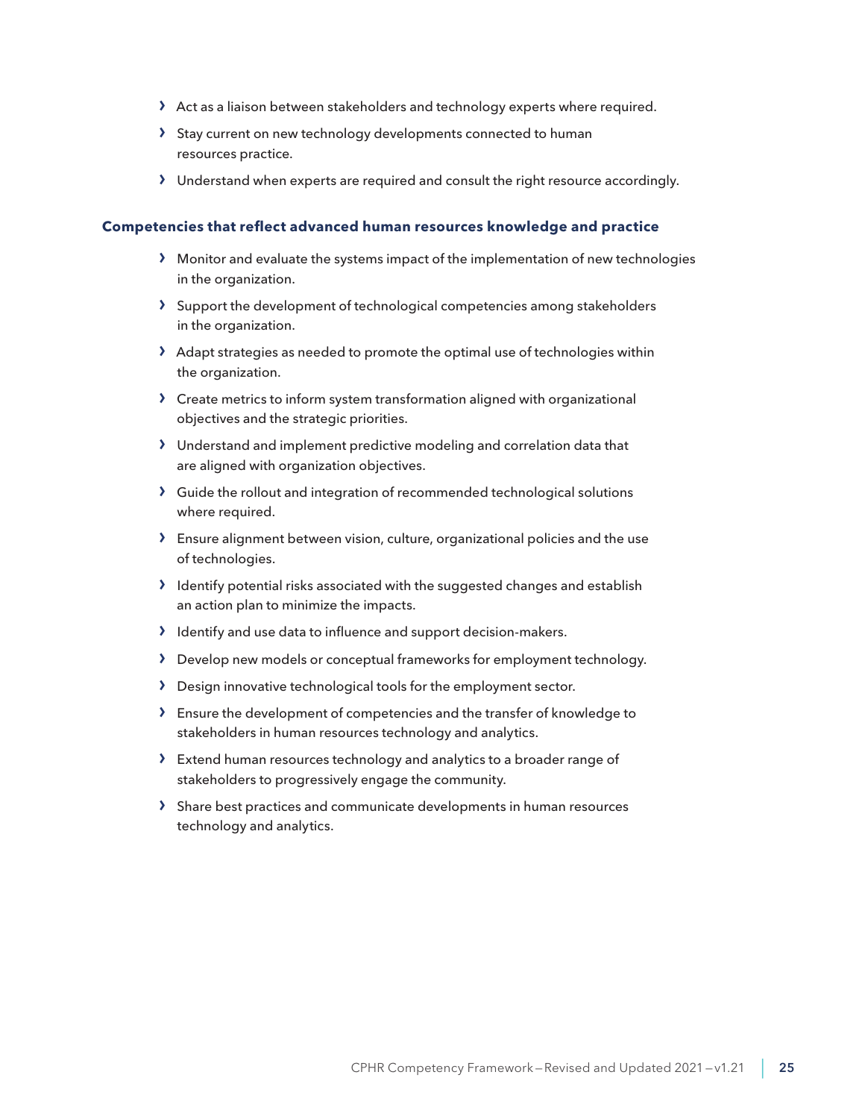- › Act as a liaison between stakeholders and technology experts where required.
- › Stay current on new technology developments connected to human resources practice.
- › Understand when experts are required and consult the right resource accordingly.

- › Monitor and evaluate the systems impact of the implementation of new technologies in the organization.
- › Support the development of technological competencies among stakeholders in the organization.
- $\lambda$  Adapt strategies as needed to promote the optimal use of technologies within the organization.
- › Create metrics to inform system transformation aligned with organizational objectives and the strategic priorities.
- › Understand and implement predictive modeling and correlation data that are aligned with organization objectives.
- › Guide the rollout and integration of recommended technological solutions where required.
- › Ensure alignment between vision, culture, organizational policies and the use of technologies.
- › Identify potential risks associated with the suggested changes and establish an action plan to minimize the impacts.
- › Identify and use data to influence and support decision-makers.
- › Develop new models or conceptual frameworks for employment technology.
- › Design innovative technological tools for the employment sector.
- › Ensure the development of competencies and the transfer of knowledge to stakeholders in human resources technology and analytics.
- › Extend human resources technology and analytics to a broader range of stakeholders to progressively engage the community.
- › Share best practices and communicate developments in human resources technology and analytics.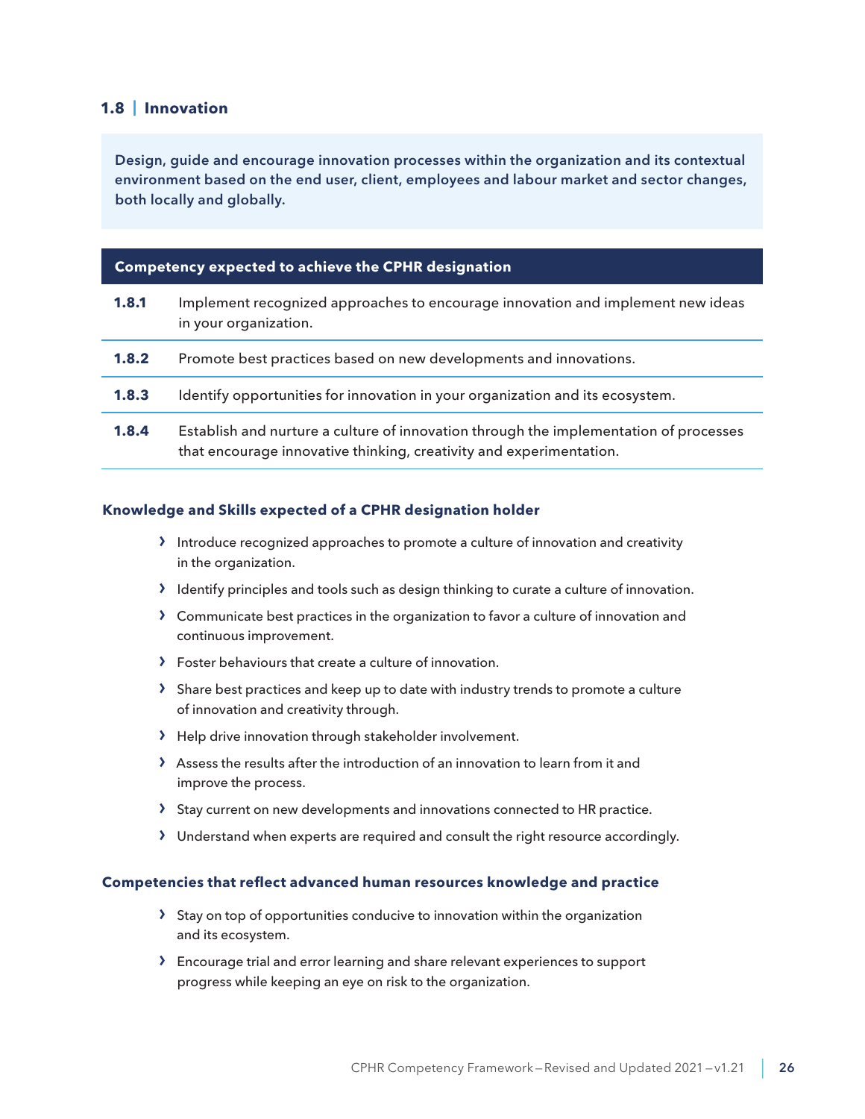#### <span id="page-25-0"></span>**1.8 | Innovation**

Design, guide and encourage innovation processes within the organization and its contextual environment based on the end user, client, employees and labour market and sector changes, both locally and globally.

#### **Competency expected to achieve the CPHR designation**

| 1.8.1 | Implement recognized approaches to encourage innovation and implement new ideas<br>in your organization.                                                     |
|-------|--------------------------------------------------------------------------------------------------------------------------------------------------------------|
| 1.8.2 | Promote best practices based on new developments and innovations.                                                                                            |
| 1.8.3 | Identify opportunities for innovation in your organization and its ecosystem.                                                                                |
| 1.8.4 | Establish and nurture a culture of innovation through the implementation of processes<br>that encourage innovative thinking, creativity and experimentation. |

#### **Knowledge and Skills expected of a CPHR designation holder**

- › Introduce recognized approaches to promote a culture of innovation and creativity in the organization.
- › Identify principles and tools such as design thinking to curate a culture of innovation.
- › Communicate best practices in the organization to favor a culture of innovation and continuous improvement.
- › Foster behaviours that create a culture of innovation.
- › Share best practices and keep up to date with industry trends to promote a culture of innovation and creativity through.
- › Help drive innovation through stakeholder involvement.
- › Assess the results after the introduction of an innovation to learn from it and improve the process.
- › Stay current on new developments and innovations connected to HR practice.
- › Understand when experts are required and consult the right resource accordingly.

- › Stay on top of opportunities conducive to innovation within the organization and its ecosystem.
- › Encourage trial and error learning and share relevant experiences to support progress while keeping an eye on risk to the organization.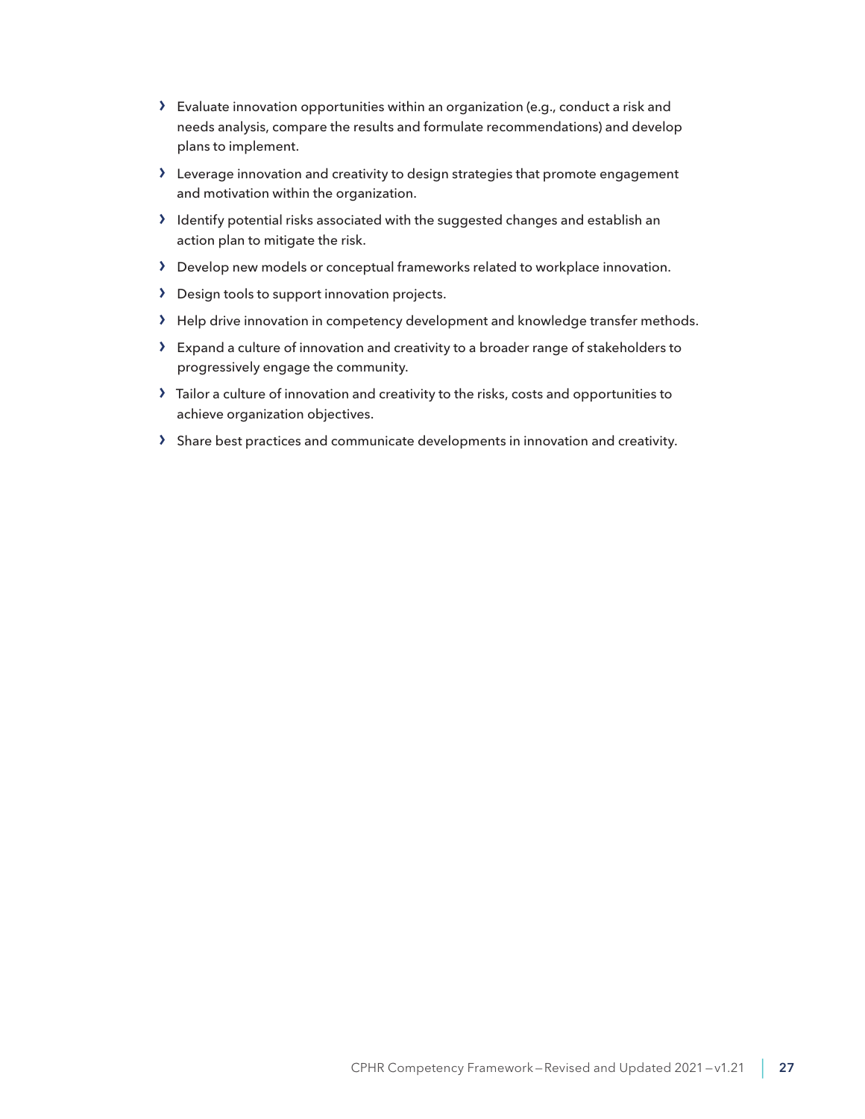- › Evaluate innovation opportunities within an organization (e.g., conduct a risk and needs analysis, compare the results and formulate recommendations) and develop plans to implement.
- › Leverage innovation and creativity to design strategies that promote engagement and motivation within the organization.
- › Identify potential risks associated with the suggested changes and establish an action plan to mitigate the risk.
- › Develop new models or conceptual frameworks related to workplace innovation.
- › Design tools to support innovation projects.
- › Help drive innovation in competency development and knowledge transfer methods.
- › Expand a culture of innovation and creativity to a broader range of stakeholders to progressively engage the community.
- › Tailor a culture of innovation and creativity to the risks, costs and opportunities to achieve organization objectives.
- › Share best practices and communicate developments in innovation and creativity.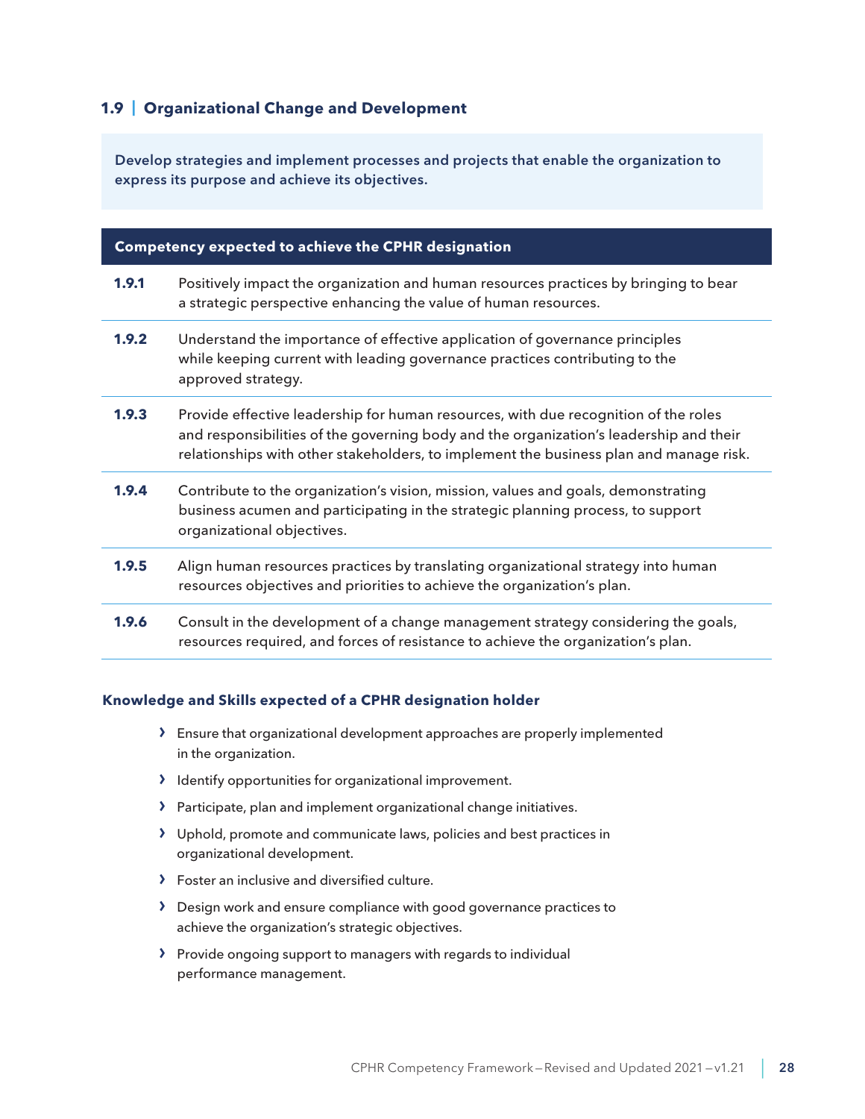# <span id="page-27-0"></span>**1.9 | Organizational Change and Development**

Develop strategies and implement processes and projects that enable the organization to express its purpose and achieve its objectives.

#### **Competency expected to achieve the CPHR designation**

- **1.9.1** Positively impact the organization and human resources practices by bringing to bear a strategic perspective enhancing the value of human resources.
- **1.9.2** Understand the importance of effective application of governance principles while keeping current with leading governance practices contributing to the approved strategy.
- **1.9.3** Provide effective leadership for human resources, with due recognition of the roles and responsibilities of the governing body and the organization's leadership and their relationships with other stakeholders, to implement the business plan and manage risk.
- **1.9.4** Contribute to the organization's vision, mission, values and goals, demonstrating business acumen and participating in the strategic planning process, to support organizational objectives.
- **1.9.5** Align human resources practices by translating organizational strategy into human resources objectives and priorities to achieve the organization's plan.
- **1.9.6** Consult in the development of a change management strategy considering the goals, resources required, and forces of resistance to achieve the organization's plan.

- › Ensure that organizational development approaches are properly implemented in the organization.
- › Identify opportunities for organizational improvement.
- › Participate, plan and implement organizational change initiatives.
- › Uphold, promote and communicate laws, policies and best practices in organizational development.
- › Foster an inclusive and diversified culture.
- › Design work and ensure compliance with good governance practices to achieve the organization's strategic objectives.
- › Provide ongoing support to managers with regards to individual performance management.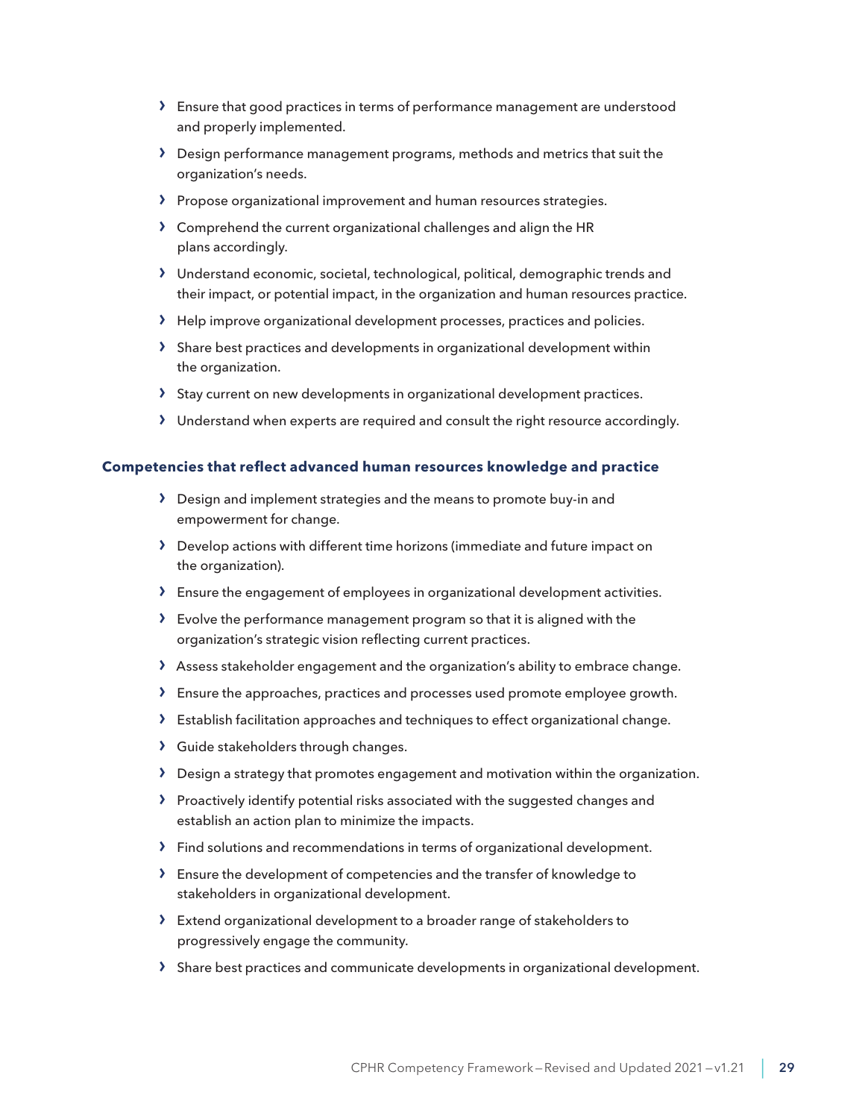- › Ensure that good practices in terms of performance management are understood and properly implemented.
- › Design performance management programs, methods and metrics that suit the organization's needs.
- › Propose organizational improvement and human resources strategies.
- › Comprehend the current organizational challenges and align the HR plans accordingly.
- › Understand economic, societal, technological, political, demographic trends and their impact, or potential impact, in the organization and human resources practice.
- › Help improve organizational development processes, practices and policies.
- › Share best practices and developments in organizational development within the organization.
- › Stay current on new developments in organizational development practices.
- › Understand when experts are required and consult the right resource accordingly.

- › Design and implement strategies and the means to promote buy-in and empowerment for change.
- › Develop actions with different time horizons (immediate and future impact on the organization).
- › Ensure the engagement of employees in organizational development activities.
- › Evolve the performance management program so that it is aligned with the organization's strategic vision reflecting current practices.
- › Assess stakeholder engagement and the organization's ability to embrace change.
- › Ensure the approaches, practices and processes used promote employee growth.
- › Establish facilitation approaches and techniques to effect organizational change.
- › Guide stakeholders through changes.
- › Design a strategy that promotes engagement and motivation within the organization.
- › Proactively identify potential risks associated with the suggested changes and establish an action plan to minimize the impacts.
- › Find solutions and recommendations in terms of organizational development.
- › Ensure the development of competencies and the transfer of knowledge to stakeholders in organizational development.
- › Extend organizational development to a broader range of stakeholders to progressively engage the community.
- › Share best practices and communicate developments in organizational development.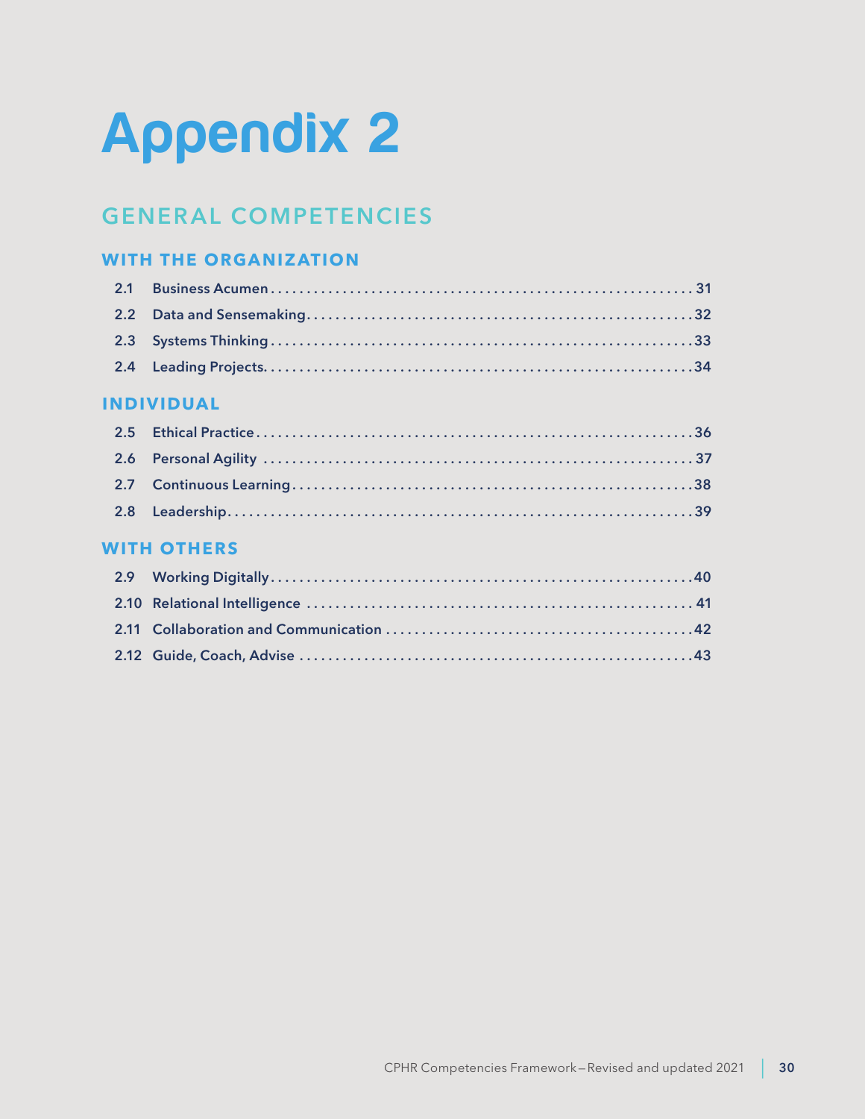# <span id="page-29-0"></span>Appendix 2

# **GENERAL COMPETENCIES**

# **WITH THE ORGANIZATION**

# **INDIVIDUAL**

# **WITH OTHERS**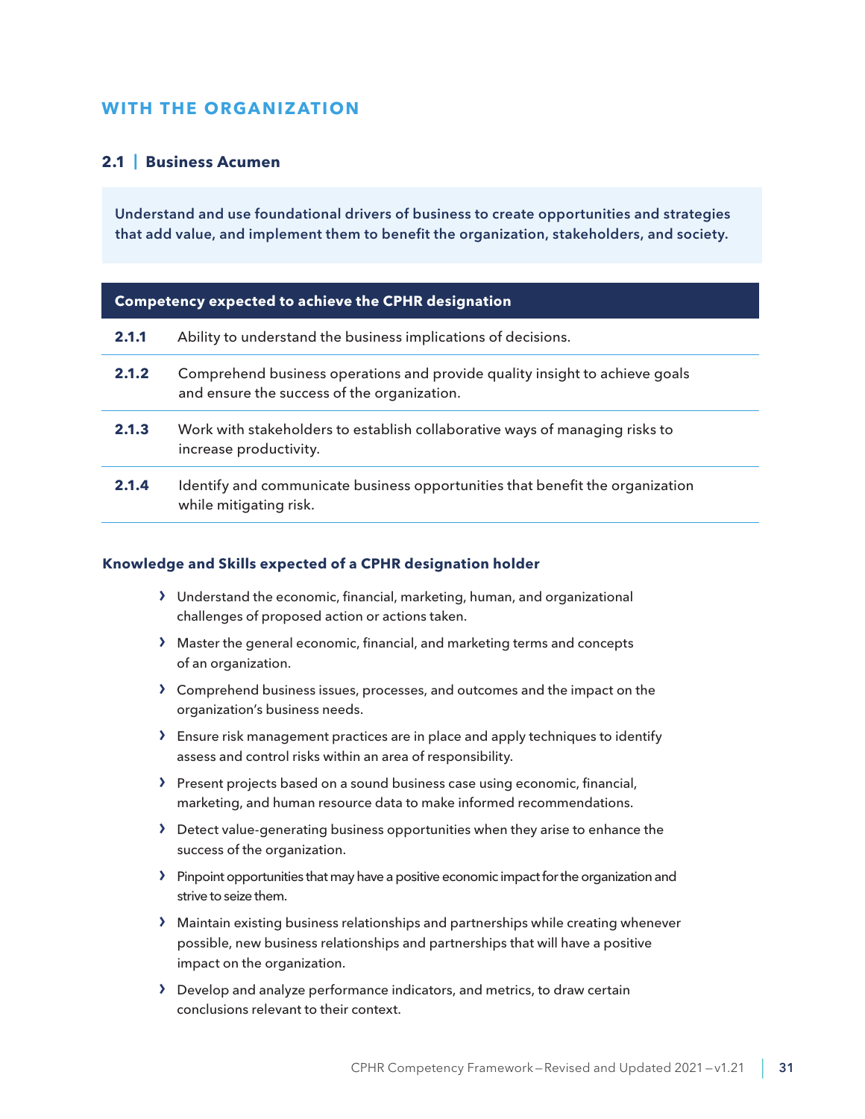# <span id="page-30-0"></span>**WITH THE ORGANIZATION**

#### **2.1 | Business Acumen**

Understand and use foundational drivers of business to create opportunities and strategies that add value, and implement them to benefit the organization, stakeholders, and society.

| Competency expected to achieve the CPHR designation |
|-----------------------------------------------------|
|-----------------------------------------------------|

| 2.1.1 | Ability to understand the business implications of decisions.                                                              |
|-------|----------------------------------------------------------------------------------------------------------------------------|
| 2.1.2 | Comprehend business operations and provide quality insight to achieve goals<br>and ensure the success of the organization. |
| 2.1.3 | Work with stakeholders to establish collaborative ways of managing risks to<br>increase productivity.                      |
| 2.1.4 | Identify and communicate business opportunities that benefit the organization<br>while mitigating risk.                    |

- › Understand the economic, financial, marketing, human, and organizational challenges of proposed action or actions taken.
- › Master the general economic, financial, and marketing terms and concepts of an organization.
- › Comprehend business issues, processes, and outcomes and the impact on the organization's business needs.
- › Ensure risk management practices are in place and apply techniques to identify assess and control risks within an area of responsibility.
- › Present projects based on a sound business case using economic, financial, marketing, and human resource data to make informed recommendations.
- › Detect value-generating business opportunities when they arise to enhance the success of the organization.
- › Pinpoint opportunities that may have a positive economic impact for the organization and strive to seize them.
- › Maintain existing business relationships and partnerships while creating whenever possible, new business relationships and partnerships that will have a positive impact on the organization.
- › Develop and analyze performance indicators, and metrics, to draw certain conclusions relevant to their context.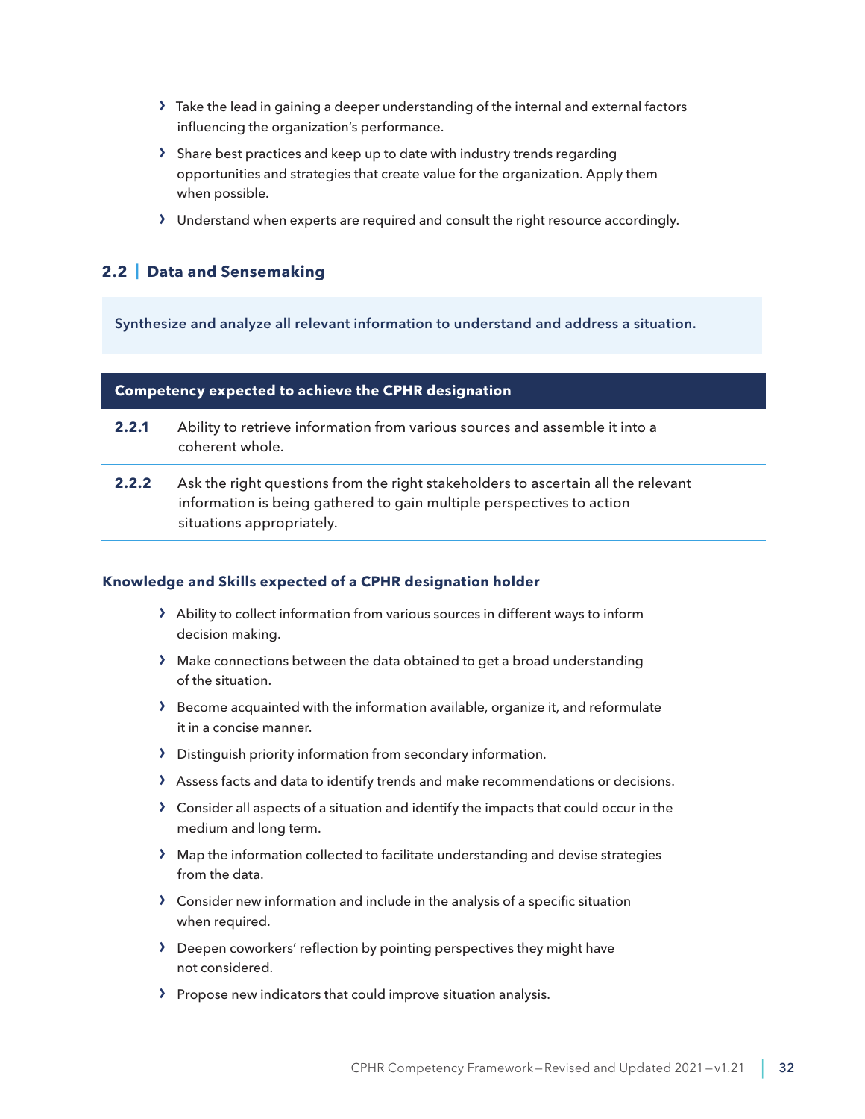- <span id="page-31-0"></span>› Take the lead in gaining a deeper understanding of the internal and external factors influencing the organization's performance.
- › Share best practices and keep up to date with industry trends regarding opportunities and strategies that create value for the organization. Apply them when possible.
- › Understand when experts are required and consult the right resource accordingly.

# **2.2 | Data and Sensemaking**

Synthesize and analyze all relevant information to understand and address a situation.

#### **Competency expected to achieve the CPHR designation**

- **2.2.1** Ability to retrieve information from various sources and assemble it into a coherent whole.
- **2.2.2** Ask the right questions from the right stakeholders to ascertain all the relevant information is being gathered to gain multiple perspectives to action situations appropriately.

- › Ability to collect information from various sources in different ways to inform decision making.
- › Make connections between the data obtained to get a broad understanding of the situation.
- › Become acquainted with the information available, organize it, and reformulate it in a concise manner.
- › Distinguish priority information from secondary information.
- › Assess facts and data to identify trends and make recommendations or decisions.
- › Consider all aspects of a situation and identify the impacts that could occur in the medium and long term.
- › Map the information collected to facilitate understanding and devise strategies from the data.
- › Consider new information and include in the analysis of a specific situation when required.
- › Deepen coworkers' reflection by pointing perspectives they might have not considered.
- › Propose new indicators that could improve situation analysis.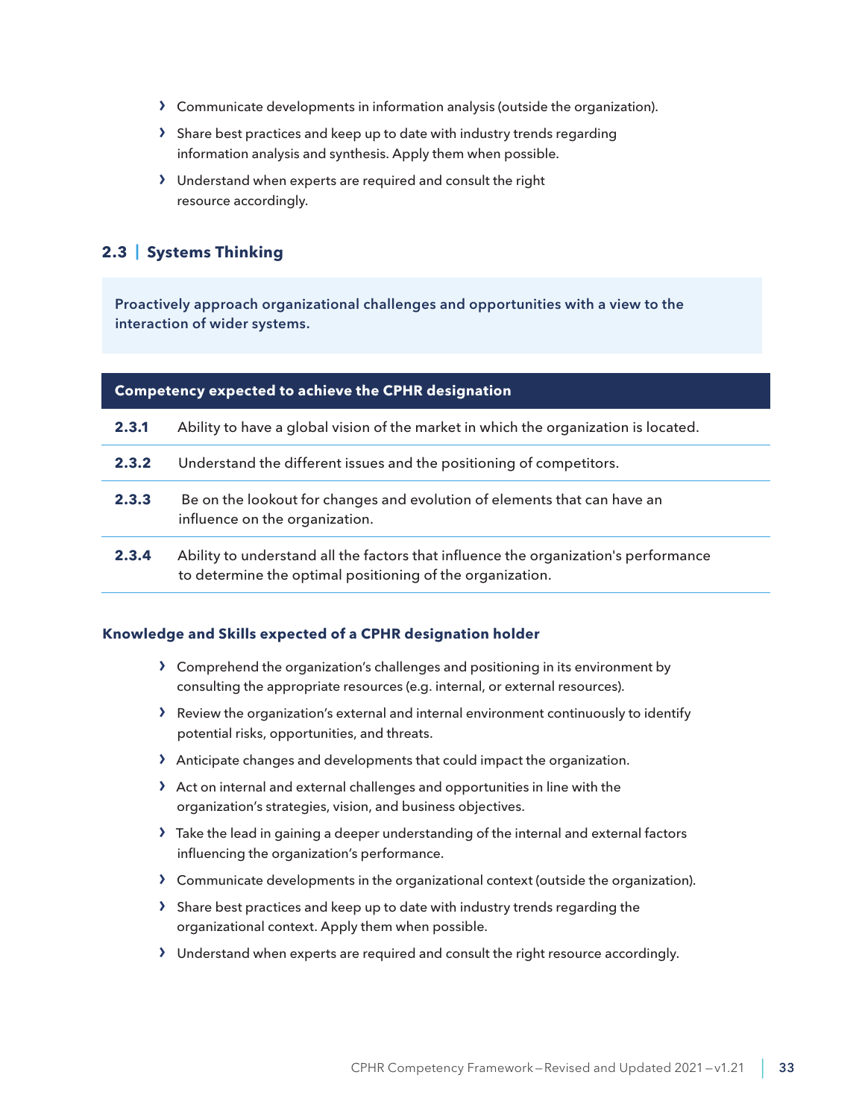- <span id="page-32-0"></span>› Communicate developments in information analysis (outside the organization).
- › Share best practices and keep up to date with industry trends regarding information analysis and synthesis. Apply them when possible.
- › Understand when experts are required and consult the right resource accordingly.

# **2.3 | Systems Thinking**

Proactively approach organizational challenges and opportunities with a view to the interaction of wider systems.

| <b>Competency expected to achieve the CPHR designation</b> |                                                                                                                                                  |
|------------------------------------------------------------|--------------------------------------------------------------------------------------------------------------------------------------------------|
| 2.3.1                                                      | Ability to have a global vision of the market in which the organization is located.                                                              |
| 2.3.2                                                      | Understand the different issues and the positioning of competitors.                                                                              |
| 2.3.3                                                      | Be on the lookout for changes and evolution of elements that can have an<br>influence on the organization.                                       |
| 2.3.4                                                      | Ability to understand all the factors that influence the organization's performance<br>to determine the optimal positioning of the organization. |

- › Comprehend the organization's challenges and positioning in its environment by consulting the appropriate resources (e.g. internal, or external resources).
- › Review the organization's external and internal environment continuously to identify potential risks, opportunities, and threats.
- › Anticipate changes and developments that could impact the organization.
- › Act on internal and external challenges and opportunities in line with the organization's strategies, vision, and business objectives.
- › Take the lead in gaining a deeper understanding of the internal and external factors influencing the organization's performance.
- › Communicate developments in the organizational context (outside the organization).
- › Share best practices and keep up to date with industry trends regarding the organizational context. Apply them when possible.
- › Understand when experts are required and consult the right resource accordingly.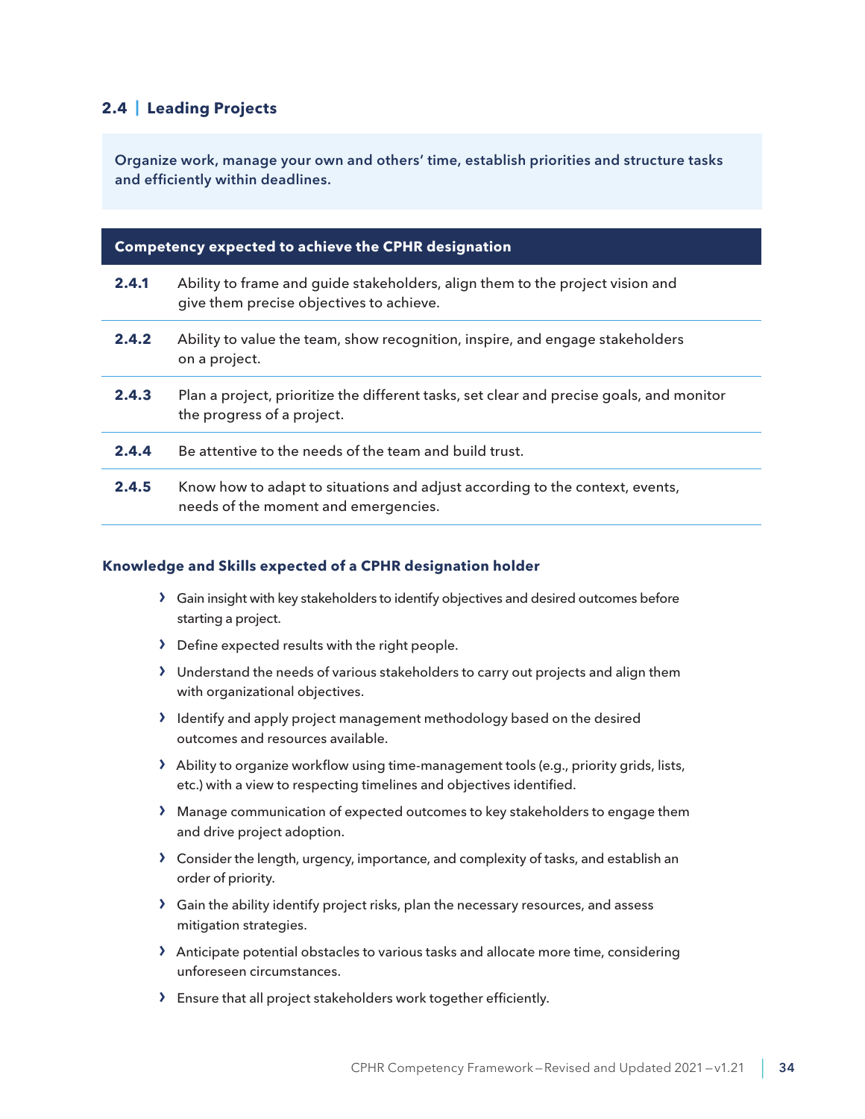# <span id="page-33-0"></span>**2.4 | Leading Projects**

Organize work, manage your own and others' time, establish priorities and structure tasks and efficiently within deadlines.

| <b>Competency expected to achieve the CPHR designation</b> |                                                                                                                           |
|------------------------------------------------------------|---------------------------------------------------------------------------------------------------------------------------|
| 2.4.1                                                      | Ability to frame and guide stakeholders, align them to the project vision and<br>give them precise objectives to achieve. |
| 2.4.2                                                      | Ability to value the team, show recognition, inspire, and engage stakeholders<br>on a project.                            |
| 2.4.3                                                      | Plan a project, prioritize the different tasks, set clear and precise goals, and monitor<br>the progress of a project.    |
| 2.4.4                                                      | Be attentive to the needs of the team and build trust.                                                                    |
| 2.4.5                                                      | Know how to adapt to situations and adjust according to the context, events,<br>needs of the moment and emergencies.      |

- › Gain insight with key stakeholders to identify objectives and desired outcomes before starting a project.
- › Define expected results with the right people.
- › Understand the needs of various stakeholders to carry out projects and align them with organizational objectives.
- › Identify and apply project management methodology based on the desired outcomes and resources available.
- > Ability to organize workflow using time-management tools (e.g., priority grids, lists, etc.) with a view to respecting timelines and objectives identified.
- › Manage communication of expected outcomes to key stakeholders to engage them and drive project adoption.
- › Consider the length, urgency, importance, and complexity of tasks, and establish an order of priority.
- › Gain the ability identify project risks, plan the necessary resources, and assess mitigation strategies.
- › Anticipate potential obstacles to various tasks and allocate more time, considering unforeseen circumstances.
- › Ensure that all project stakeholders work together efficiently.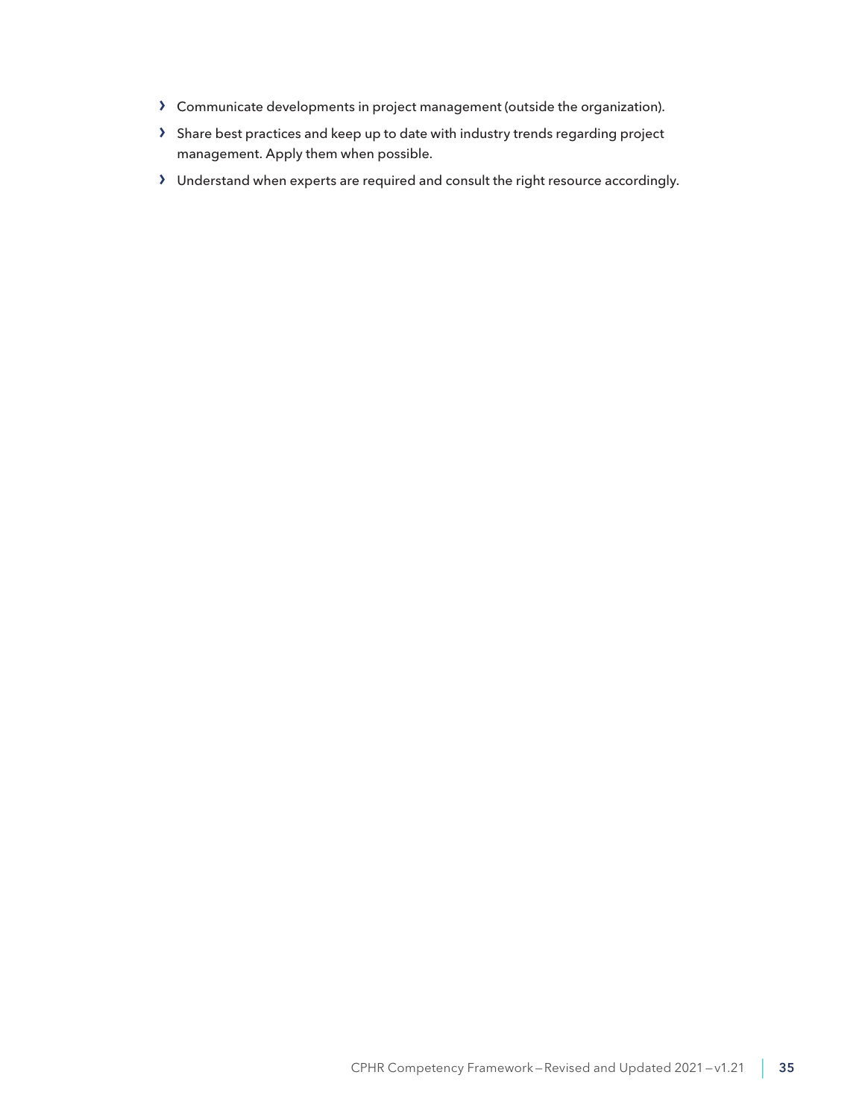- › Communicate developments in project management (outside the organization).
- › Share best practices and keep up to date with industry trends regarding project management. Apply them when possible.
- › Understand when experts are required and consult the right resource accordingly.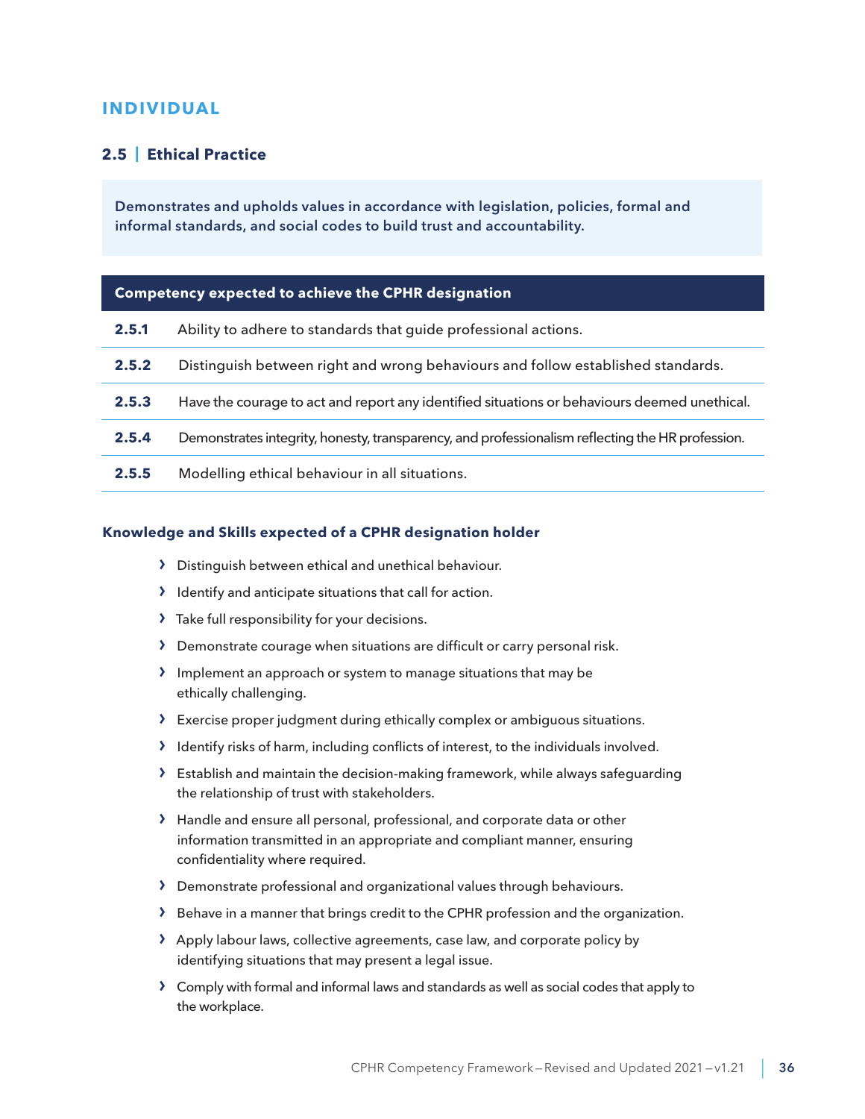# <span id="page-35-0"></span>**INDIVIDUAL**

## **2.5 | Ethical Practice**

Demonstrates and upholds values in accordance with legislation, policies, formal and informal standards, and social codes to build trust and accountability.

#### **Competency expected to achieve the CPHR designation**

| 2.5.1 | Ability to adhere to standards that guide professional actions.                                  |
|-------|--------------------------------------------------------------------------------------------------|
| 2.5.2 | Distinguish between right and wrong behaviours and follow established standards.                 |
| 2.5.3 | Have the courage to act and report any identified situations or behaviours deemed unethical.     |
| 2.5.4 | Demonstrates integrity, honesty, transparency, and professionalism reflecting the HR profession. |
| 2.5.5 | Modelling ethical behaviour in all situations.                                                   |

- › Distinguish between ethical and unethical behaviour.
- › Identify and anticipate situations that call for action.
- › Take full responsibility for your decisions.
- › Demonstrate courage when situations are difficult or carry personal risk.
- › Implement an approach or system to manage situations that may be ethically challenging.
- › Exercise proper judgment during ethically complex or ambiguous situations.
- › Identify risks of harm, including conflicts of interest, to the individuals involved.
- $\sum$  Establish and maintain the decision-making framework, while always safeguarding the relationship of trust with stakeholders.
- › Handle and ensure all personal, professional, and corporate data or other information transmitted in an appropriate and compliant manner, ensuring confidentiality where required.
- › Demonstrate professional and organizational values through behaviours.
- › Behave in a manner that brings credit to the CPHR profession and the organization.
- › Apply labour laws, collective agreements, case law, and corporate policy by identifying situations that may present a legal issue.
- › Comply with formal and informal laws and standards as well as social codes that apply to the workplace.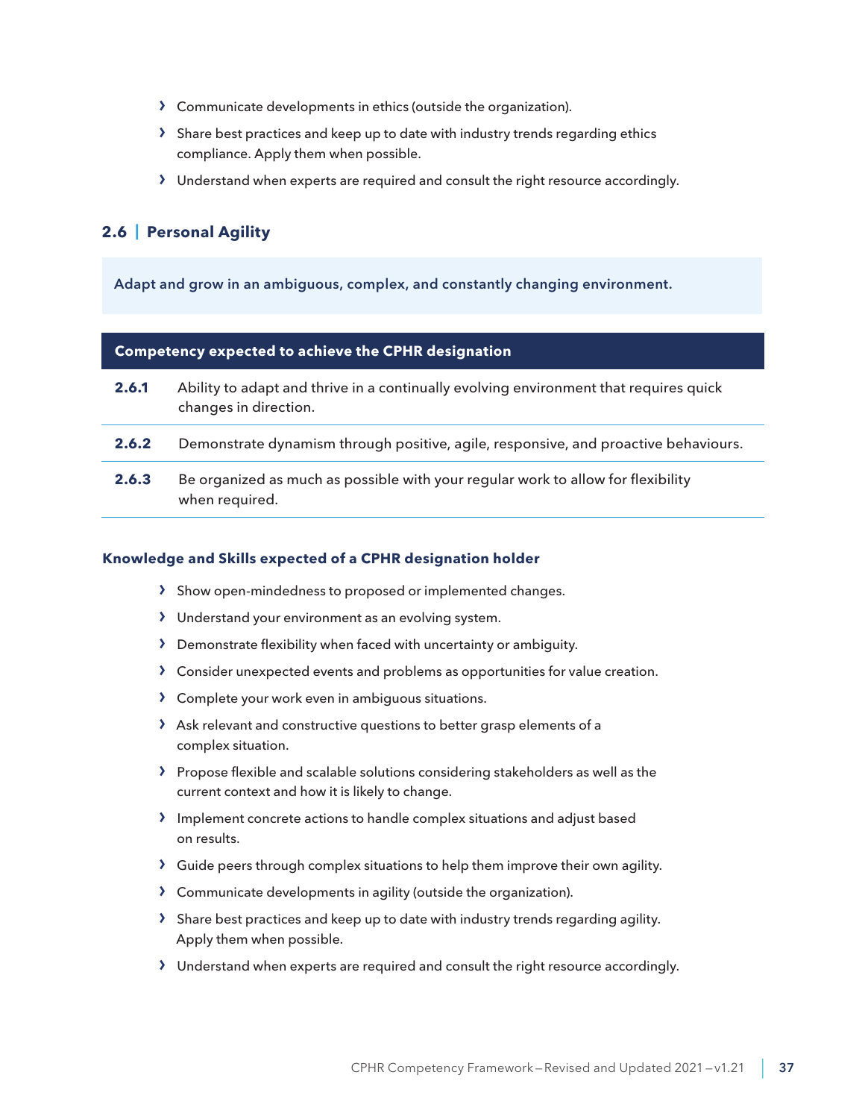- <span id="page-36-0"></span>› Communicate developments in ethics (outside the organization).
- › Share best practices and keep up to date with industry trends regarding ethics compliance. Apply them when possible.
- › Understand when experts are required and consult the right resource accordingly.

# **2.6 | Personal Agility**

Adapt and grow in an ambiguous, complex, and constantly changing environment.

| <b>Competency expected to achieve the CPHR designation</b> |                                                                                                                |
|------------------------------------------------------------|----------------------------------------------------------------------------------------------------------------|
| 2.6.1                                                      | Ability to adapt and thrive in a continually evolving environment that requires quick<br>changes in direction. |
| 2.6.2                                                      | Demonstrate dynamism through positive, agile, responsive, and proactive behaviours.                            |
| 2.6.3                                                      | Be organized as much as possible with your regular work to allow for flexibility<br>when required.             |

- › Show open-mindedness to proposed or implemented changes.
- › Understand your environment as an evolving system.
- › Demonstrate flexibility when faced with uncertainty or ambiguity.
- › Consider unexpected events and problems as opportunities for value creation.
- › Complete your work even in ambiguous situations.
- › Ask relevant and constructive questions to better grasp elements of a complex situation.
- › Propose flexible and scalable solutions considering stakeholders as well as the current context and how it is likely to change.
- › Implement concrete actions to handle complex situations and adjust based on results.
- › Guide peers through complex situations to help them improve their own agility.
- › Communicate developments in agility (outside the organization).
- › Share best practices and keep up to date with industry trends regarding agility. Apply them when possible.
- › Understand when experts are required and consult the right resource accordingly.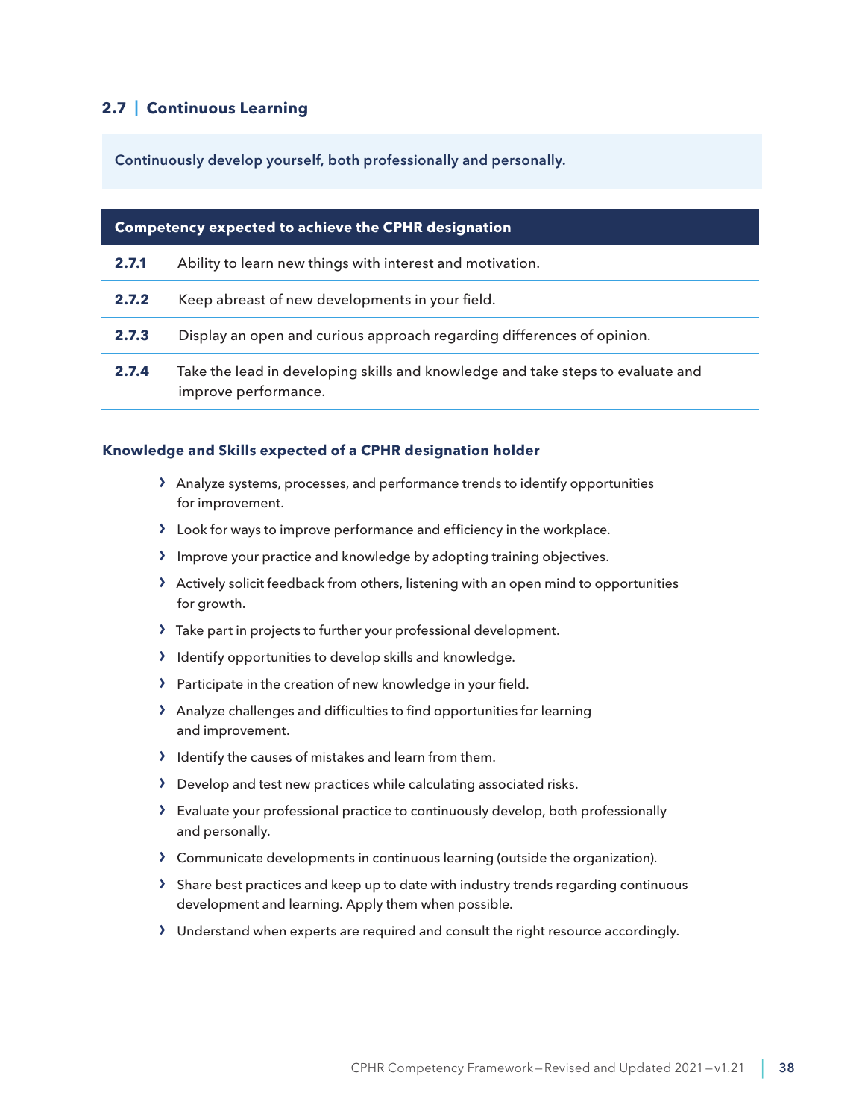# <span id="page-37-0"></span>**2.7 | Continuous Learning**

Continuously develop yourself, both professionally and personally.

| <b>Competency expected to achieve the CPHR designation</b> |                                                                                                         |
|------------------------------------------------------------|---------------------------------------------------------------------------------------------------------|
| 2.7.1                                                      | Ability to learn new things with interest and motivation.                                               |
| 2.7.2                                                      | Keep abreast of new developments in your field.                                                         |
| 2.7.3                                                      | Display an open and curious approach regarding differences of opinion.                                  |
| 2.7.4                                                      | Take the lead in developing skills and knowledge and take steps to evaluate and<br>improve performance. |

- › Analyze systems, processes, and performance trends to identify opportunities for improvement.
- › Look for ways to improve performance and efficiency in the workplace.
- › Improve your practice and knowledge by adopting training objectives.
- › Actively solicit feedback from others, listening with an open mind to opportunities for growth.
- › Take part in projects to further your professional development.
- › Identify opportunities to develop skills and knowledge.
- › Participate in the creation of new knowledge in your field.
- › Analyze challenges and difficulties to find opportunities for learning and improvement.
- › Identify the causes of mistakes and learn from them.
- › Develop and test new practices while calculating associated risks.
- › Evaluate your professional practice to continuously develop, both professionally and personally.
- › Communicate developments in continuous learning (outside the organization).
- › Share best practices and keep up to date with industry trends regarding continuous development and learning. Apply them when possible.
- › Understand when experts are required and consult the right resource accordingly.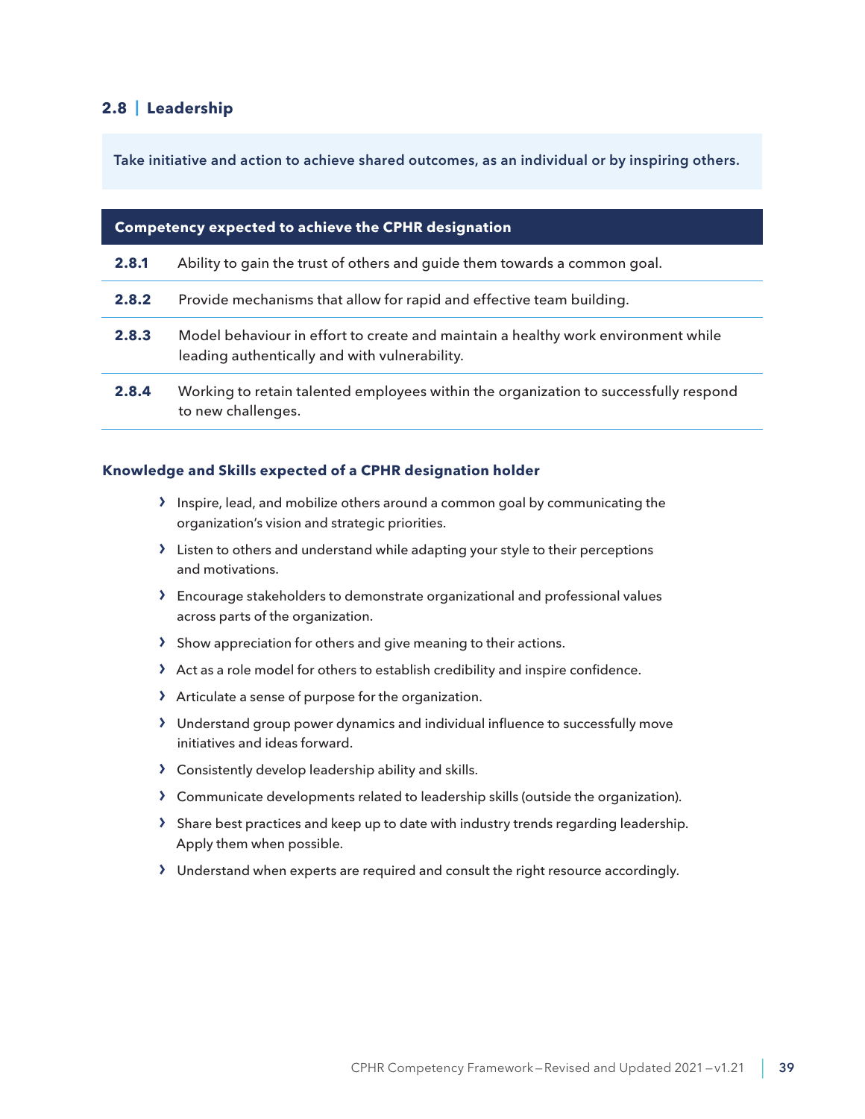## <span id="page-38-0"></span>**2.8 | Leadership**

Take initiative and action to achieve shared outcomes, as an individual or by inspiring others.

| <b>Competency expected to achieve the CPHR designation</b> |                                                                                                                                    |
|------------------------------------------------------------|------------------------------------------------------------------------------------------------------------------------------------|
| 2.8.1                                                      | Ability to gain the trust of others and guide them towards a common goal.                                                          |
| 2.8.2                                                      | Provide mechanisms that allow for rapid and effective team building.                                                               |
| 2.8.3                                                      | Model behaviour in effort to create and maintain a healthy work environment while<br>leading authentically and with vulnerability. |
| 2.8.4                                                      | Working to retain talented employees within the organization to successfully respond<br>to new challenges.                         |

- › Inspire, lead, and mobilize others around a common goal by communicating the organization's vision and strategic priorities.
- › Listen to others and understand while adapting your style to their perceptions and motivations.
- › Encourage stakeholders to demonstrate organizational and professional values across parts of the organization.
- › Show appreciation for others and give meaning to their actions.
- › Act as a role model for others to establish credibility and inspire confidence.
- › Articulate a sense of purpose for the organization.
- › Understand group power dynamics and individual influence to successfully move initiatives and ideas forward.
- › Consistently develop leadership ability and skills.
- › Communicate developments related to leadership skills (outside the organization).
- › Share best practices and keep up to date with industry trends regarding leadership. Apply them when possible.
- › Understand when experts are required and consult the right resource accordingly.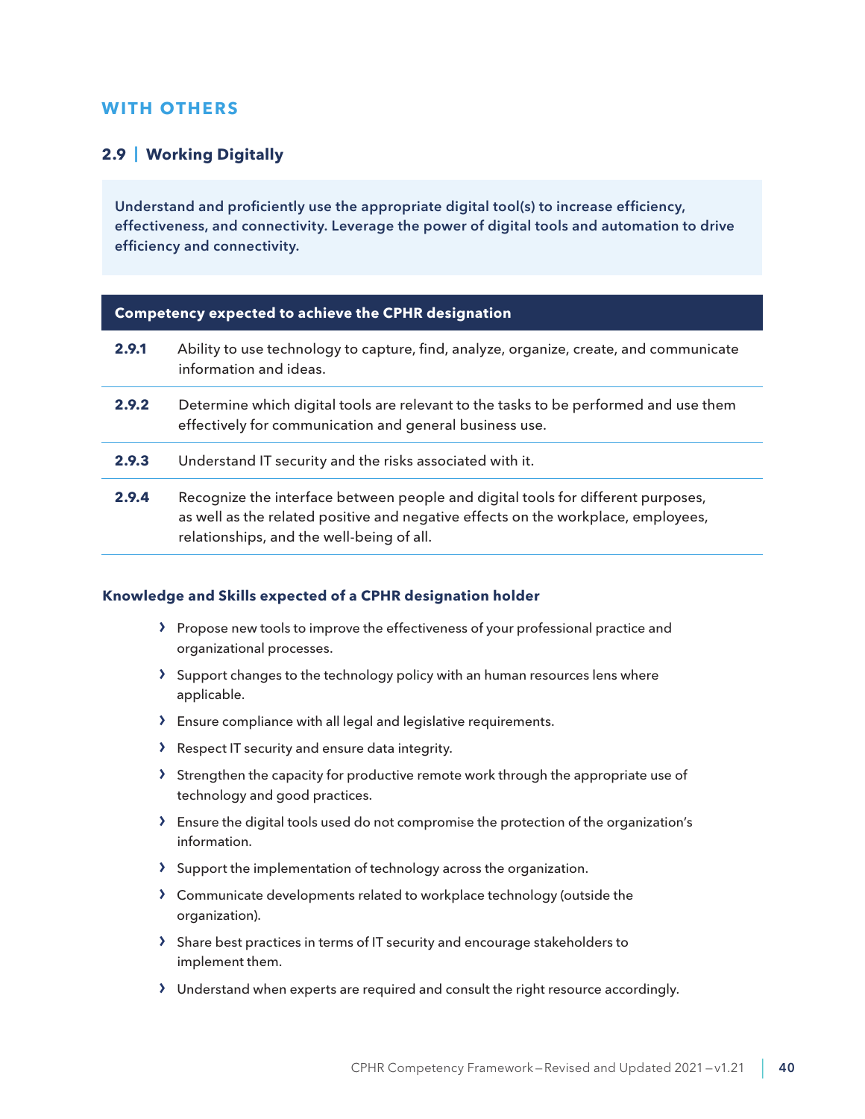# <span id="page-39-0"></span>**WITH OTHERS**

### **2.9 | Working Digitally**

Understand and proficiently use the appropriate digital tool(s) to increase efficiency, effectiveness, and connectivity. Leverage the power of digital tools and automation to drive efficiency and connectivity.

#### **Competency expected to achieve the CPHR designation**

| 2.9.1 | Ability to use technology to capture, find, analyze, organize, create, and communicate<br>information and ideas.                                                                                                   |
|-------|--------------------------------------------------------------------------------------------------------------------------------------------------------------------------------------------------------------------|
| 2.9.2 | Determine which digital tools are relevant to the tasks to be performed and use them<br>effectively for communication and general business use.                                                                    |
| 2.9.3 | Understand IT security and the risks associated with it.                                                                                                                                                           |
| 2.9.4 | Recognize the interface between people and digital tools for different purposes,<br>as well as the related positive and negative effects on the workplace, employees,<br>relationships, and the well-being of all. |

- › Propose new tools to improve the effectiveness of your professional practice and organizational processes.
- › Support changes to the technology policy with an human resources lens where applicable.
- › Ensure compliance with all legal and legislative requirements.
- › Respect IT security and ensure data integrity.
- › Strengthen the capacity for productive remote work through the appropriate use of technology and good practices.
- › Ensure the digital tools used do not compromise the protection of the organization's information.
- › Support the implementation of technology across the organization.
- › Communicate developments related to workplace technology (outside the organization).
- › Share best practices in terms of IT security and encourage stakeholders to implement them.
- › Understand when experts are required and consult the right resource accordingly.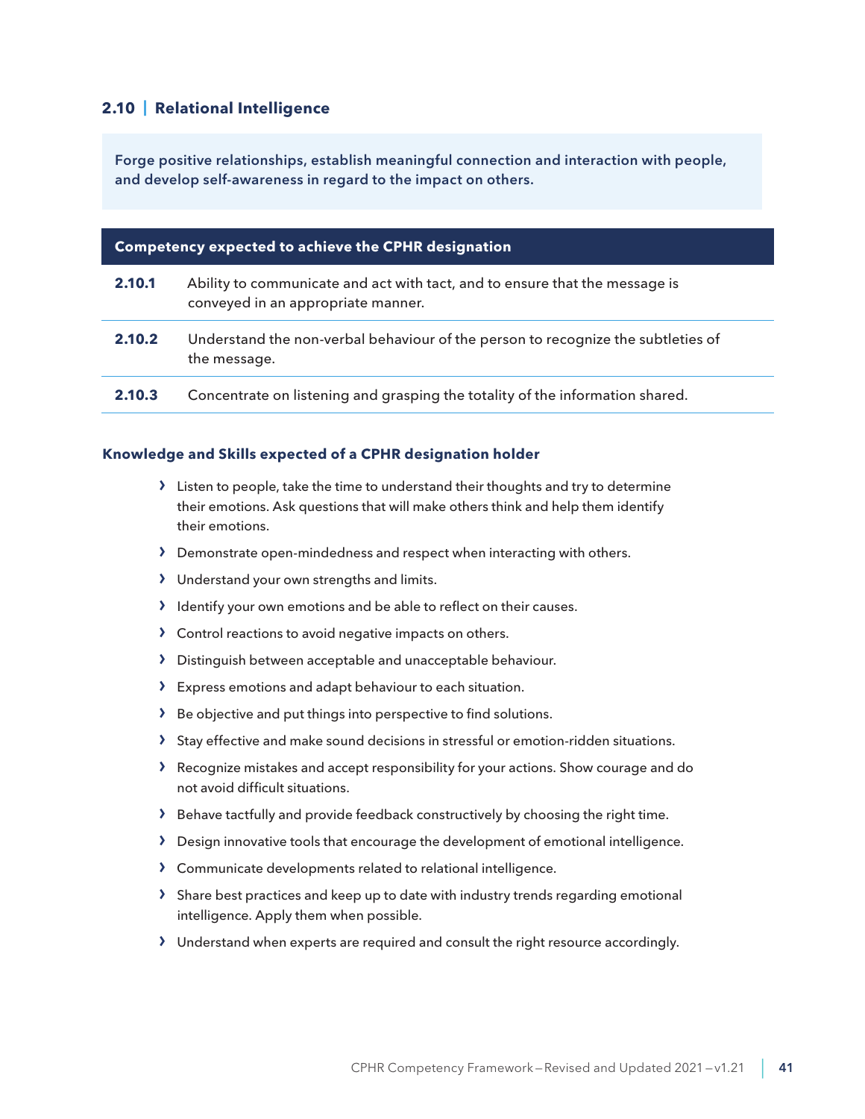## <span id="page-40-0"></span>**2.10 | Relational Intelligence**

Forge positive relationships, establish meaningful connection and interaction with people, and develop self-awareness in regard to the impact on others.

| <b>Competency expected to achieve the CPHR designation</b> |                                                                                                                   |
|------------------------------------------------------------|-------------------------------------------------------------------------------------------------------------------|
| 2.10.1                                                     | Ability to communicate and act with tact, and to ensure that the message is<br>conveyed in an appropriate manner. |
| 2.10.2                                                     | Understand the non-verbal behaviour of the person to recognize the subtleties of<br>the message.                  |
| 2.10.3                                                     | Concentrate on listening and grasping the totality of the information shared.                                     |

- › Listen to people, take the time to understand their thoughts and try to determine their emotions. Ask questions that will make others think and help them identify their emotions.
- › Demonstrate open-mindedness and respect when interacting with others.
- › Understand your own strengths and limits.
- › Identify your own emotions and be able to reflect on their causes.
- › Control reactions to avoid negative impacts on others.
- › Distinguish between acceptable and unacceptable behaviour.
- › Express emotions and adapt behaviour to each situation.
- › Be objective and put things into perspective to find solutions.
- › Stay effective and make sound decisions in stressful or emotion-ridden situations.
- › Recognize mistakes and accept responsibility for your actions. Show courage and do not avoid difficult situations.
- › Behave tactfully and provide feedback constructively by choosing the right time.
- › Design innovative tools that encourage the development of emotional intelligence.
- › Communicate developments related to relational intelligence.
- $\sum$  Share best practices and keep up to date with industry trends regarding emotional intelligence. Apply them when possible.
- › Understand when experts are required and consult the right resource accordingly.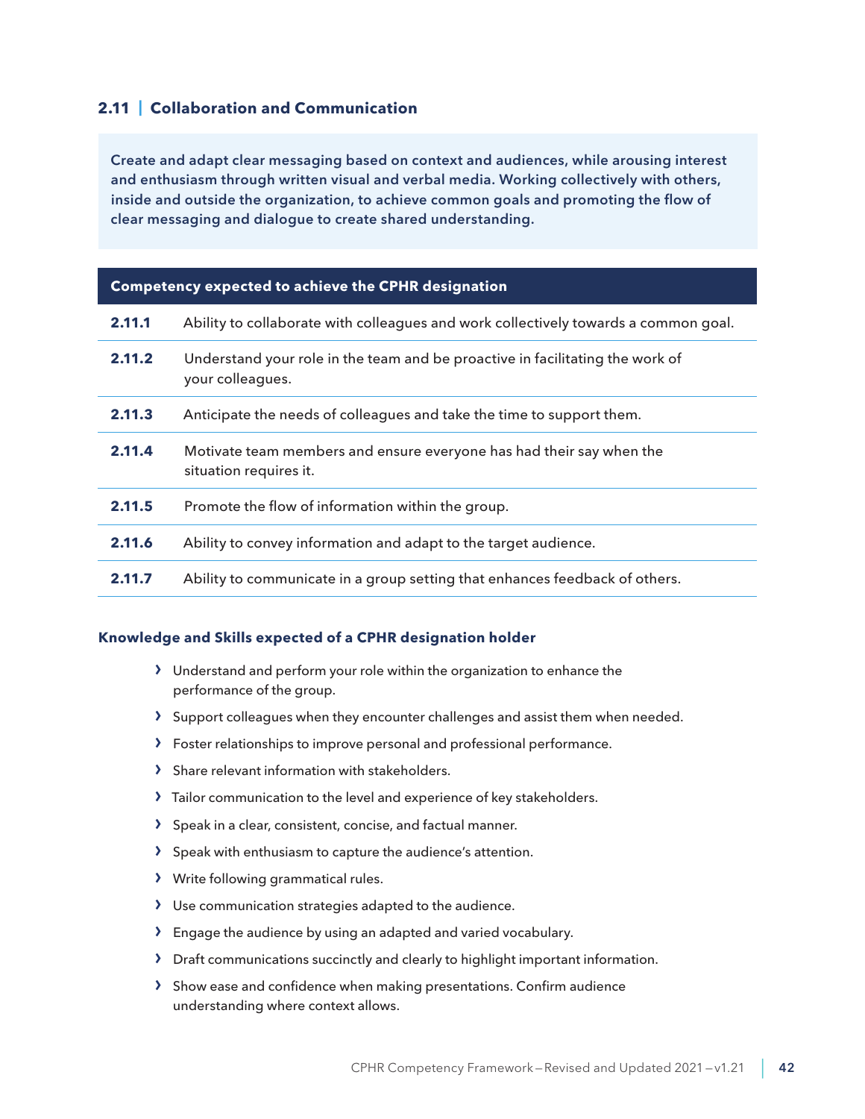## <span id="page-41-0"></span>**2.11 | Collaboration and Communication**

Create and adapt clear messaging based on context and audiences, while arousing interest and enthusiasm through written visual and verbal media. Working collectively with others, inside and outside the organization, to achieve common goals and promoting the flow of clear messaging and dialogue to create shared understanding.

#### **Competency expected to achieve the CPHR designation**

| 2.11.1 | Ability to collaborate with colleagues and work collectively towards a common goal.               |
|--------|---------------------------------------------------------------------------------------------------|
| 2.11.2 | Understand your role in the team and be proactive in facilitating the work of<br>your colleagues. |
| 2.11.3 | Anticipate the needs of colleagues and take the time to support them.                             |
| 2.11.4 | Motivate team members and ensure everyone has had their say when the<br>situation requires it.    |
| 2.11.5 | Promote the flow of information within the group.                                                 |
| 2.11.6 | Ability to convey information and adapt to the target audience.                                   |
| 2.11.7 | Ability to communicate in a group setting that enhances feedback of others.                       |

- › Understand and perform your role within the organization to enhance the performance of the group.
- > Support colleagues when they encounter challenges and assist them when needed.
- › Foster relationships to improve personal and professional performance.
- › Share relevant information with stakeholders.
- > Tailor communication to the level and experience of key stakeholders.
- › Speak in a clear, consistent, concise, and factual manner.
- › Speak with enthusiasm to capture the audience's attention.
- › Write following grammatical rules.
- › Use communication strategies adapted to the audience.
- › Engage the audience by using an adapted and varied vocabulary.
- › Draft communications succinctly and clearly to highlight important information.
- › Show ease and confidence when making presentations. Confirm audience understanding where context allows.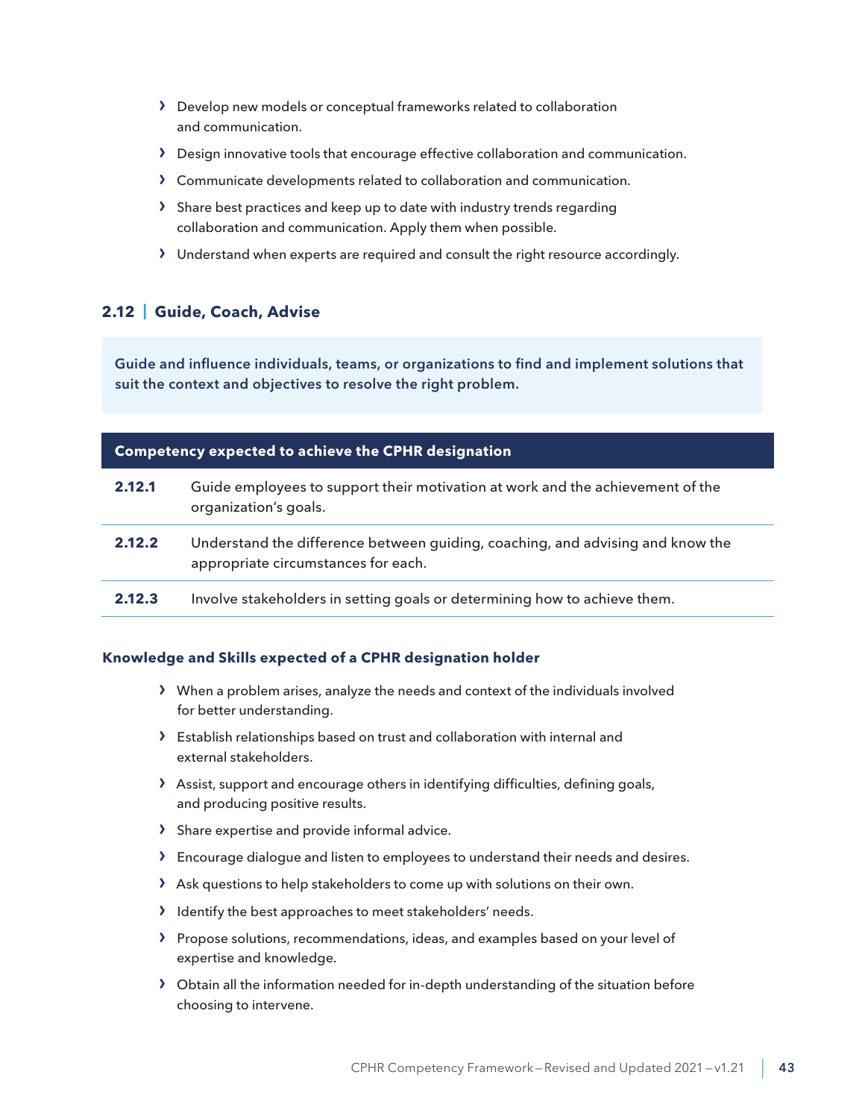- <span id="page-42-0"></span>> Develop new models or conceptual frameworks related to collaboration and communication.
- › Design innovative tools that encourage effective collaboration and communication.
- › Communicate developments related to collaboration and communication.
- › Share best practices and keep up to date with industry trends regarding collaboration and communication. Apply them when possible.
- › Understand when experts are required and consult the right resource accordingly.

## **2.12 | Guide, Coach, Advise**

Guide and influence individuals, teams, or organizations to find and implement solutions that suit the context and objectives to resolve the right problem.

| <b>Competency expected to achieve the CPHR designation</b> |                                                                                                                       |
|------------------------------------------------------------|-----------------------------------------------------------------------------------------------------------------------|
| 2.12.1                                                     | Guide employees to support their motivation at work and the achievement of the<br>organization's goals.               |
| 2.12.2                                                     | Understand the difference between guiding, coaching, and advising and know the<br>appropriate circumstances for each. |
| 2.12.3                                                     | Involve stakeholders in setting goals or determining how to achieve them.                                             |
|                                                            |                                                                                                                       |

- › When a problem arises, analyze the needs and context of the individuals involved for better understanding.
- › Establish relationships based on trust and collaboration with internal and external stakeholders.
- › Assist, support and encourage others in identifying difficulties, defining goals, and producing positive results.
- › Share expertise and provide informal advice.
- › Encourage dialogue and listen to employees to understand their needs and desires.
- › Ask questions to help stakeholders to come up with solutions on their own.
- › Identify the best approaches to meet stakeholders' needs.
- › Propose solutions, recommendations, ideas, and examples based on your level of expertise and knowledge.
- › Obtain all the information needed for in-depth understanding of the situation before choosing to intervene.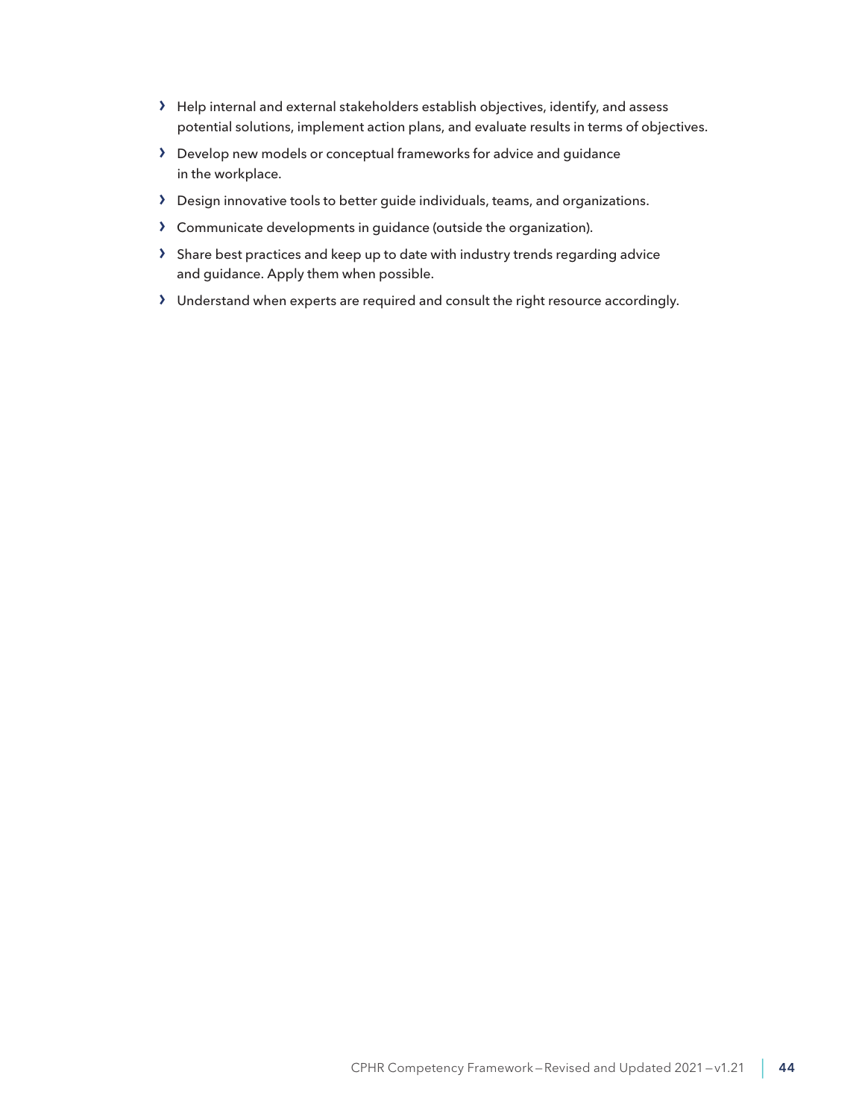- › Help internal and external stakeholders establish objectives, identify, and assess potential solutions, implement action plans, and evaluate results in terms of objectives.
- › Develop new models or conceptual frameworks for advice and guidance in the workplace.
- › Design innovative tools to better guide individuals, teams, and organizations.
- › Communicate developments in guidance (outside the organization).
- › Share best practices and keep up to date with industry trends regarding advice and guidance. Apply them when possible.
- › Understand when experts are required and consult the right resource accordingly.